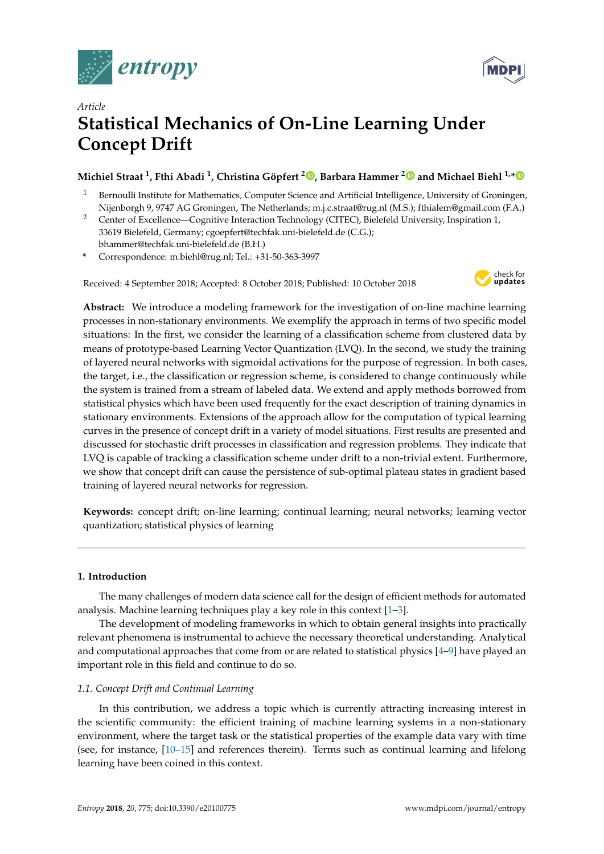



# *Article* **Statistical Mechanics of On-Line Learning Under Concept Drift**

## **Michiel Straat <sup>1</sup> , Fthi Abadi <sup>1</sup> , Christina Göpfert [2](https://orcid.org/0000-0003-2517-4907) , Barbara Hammer [2](https://orcid.org/0000-0002-0935-5591) [a](https://orcid.org/0000-0001-5148-4568)nd Michael Biehl 1,[\\*](https://orcid.org/0000-0001-5148-4568)**

- <sup>1</sup> Bernoulli Institute for Mathematics, Computer Science and Artificial Intelligence, University of Groningen, Nijenborgh 9, 9747 AG Groningen, The Netherlands; m.j.c.straat@rug.nl (M.S.); fthialem@gmail.com (F.A.)
- <sup>2</sup> Center of Excellence—Cognitive Interaction Technology (CITEC), Bielefeld University, Inspiration 1, 33619 Bielefeld, Germany; cgoepfert@techfak.uni-bielefeld.de (C.G.); bhammer@techfak.uni-bielefeld.de (B.H.)
- **\*** Correspondence: m.biehl@rug.nl; Tel.: +31-50-363-3997

Received: 4 September 2018; Accepted: 8 October 2018; Published: 10 October 2018



**Abstract:** We introduce a modeling framework for the investigation of on-line machine learning processes in non-stationary environments. We exemplify the approach in terms of two specific model situations: In the first, we consider the learning of a classification scheme from clustered data by means of prototype-based Learning Vector Quantization (LVQ). In the second, we study the training of layered neural networks with sigmoidal activations for the purpose of regression. In both cases, the target, i.e., the classification or regression scheme, is considered to change continuously while the system is trained from a stream of labeled data. We extend and apply methods borrowed from statistical physics which have been used frequently for the exact description of training dynamics in stationary environments. Extensions of the approach allow for the computation of typical learning curves in the presence of concept drift in a variety of model situations. First results are presented and discussed for stochastic drift processes in classification and regression problems. They indicate that LVQ is capable of tracking a classification scheme under drift to a non-trivial extent. Furthermore, we show that concept drift can cause the persistence of sub-optimal plateau states in gradient based training of layered neural networks for regression.

**Keywords:** concept drift; on-line learning; continual learning; neural networks; learning vector quantization; statistical physics of learning

## **1. Introduction**

The many challenges of modern data science call for the design of efficient methods for automated analysis. Machine learning techniques play a key role in this context [\[1](#page-17-0)[–3\]](#page-17-1).

The development of modeling frameworks in which to obtain general insights into practically relevant phenomena is instrumental to achieve the necessary theoretical understanding. Analytical and computational approaches that come from or are related to statistical physics [\[4](#page-17-2)[–9\]](#page-17-3) have played an important role in this field and continue to do so.

## *1.1. Concept Drift and Continual Learning*

In this contribution, we address a topic which is currently attracting increasing interest in the scientific community: the efficient training of machine learning systems in a non-stationary environment, where the target task or the statistical properties of the example data vary with time (see, for instance, [\[10–](#page-17-4)[15\]](#page-18-0) and references therein). Terms such as continual learning and lifelong learning have been coined in this context.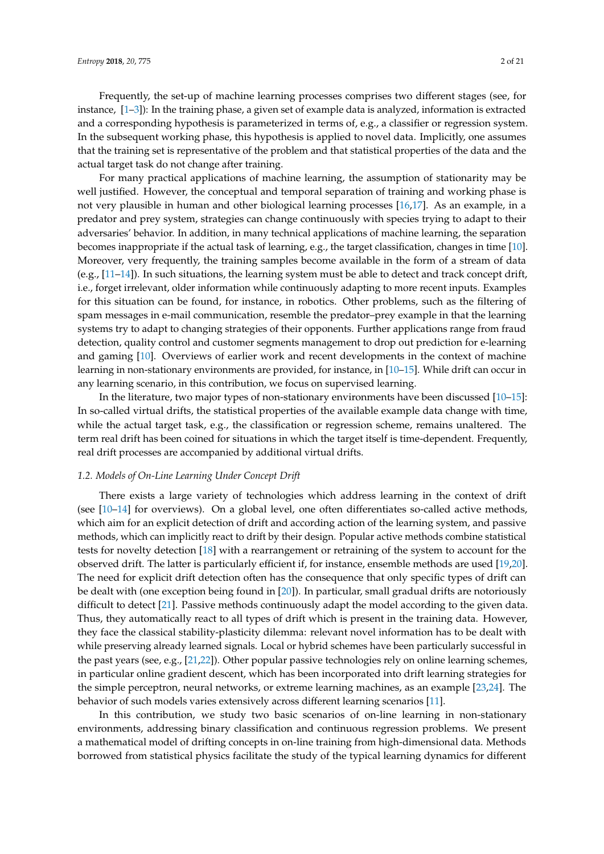Frequently, the set-up of machine learning processes comprises two different stages (see, for instance, [\[1](#page-17-0)[–3\]](#page-17-1)): In the training phase, a given set of example data is analyzed, information is extracted and a corresponding hypothesis is parameterized in terms of, e.g., a classifier or regression system. In the subsequent working phase, this hypothesis is applied to novel data. Implicitly, one assumes that the training set is representative of the problem and that statistical properties of the data and the actual target task do not change after training.

For many practical applications of machine learning, the assumption of stationarity may be well justified. However, the conceptual and temporal separation of training and working phase is not very plausible in human and other biological learning processes [\[16,](#page-18-1)[17\]](#page-18-2). As an example, in a predator and prey system, strategies can change continuously with species trying to adapt to their adversaries' behavior. In addition, in many technical applications of machine learning, the separation becomes inappropriate if the actual task of learning, e.g., the target classification, changes in time [\[10\]](#page-17-4). Moreover, very frequently, the training samples become available in the form of a stream of data (e.g., [\[11–](#page-17-5)[14\]](#page-18-3)). In such situations, the learning system must be able to detect and track concept drift, i.e., forget irrelevant, older information while continuously adapting to more recent inputs. Examples for this situation can be found, for instance, in robotics. Other problems, such as the filtering of spam messages in e-mail communication, resemble the predator–prey example in that the learning systems try to adapt to changing strategies of their opponents. Further applications range from fraud detection, quality control and customer segments management to drop out prediction for e-learning and gaming [\[10\]](#page-17-4). Overviews of earlier work and recent developments in the context of machine learning in non-stationary environments are provided, for instance, in [\[10](#page-17-4)[–15\]](#page-18-0). While drift can occur in any learning scenario, in this contribution, we focus on supervised learning.

In the literature, two major types of non-stationary environments have been discussed [\[10](#page-17-4)[–15\]](#page-18-0): In so-called virtual drifts, the statistical properties of the available example data change with time, while the actual target task, e.g., the classification or regression scheme, remains unaltered. The term real drift has been coined for situations in which the target itself is time-dependent. Frequently, real drift processes are accompanied by additional virtual drifts.

#### *1.2. Models of On-Line Learning Under Concept Drift*

There exists a large variety of technologies which address learning in the context of drift (see  $[10-14]$  $[10-14]$  for overviews). On a global level, one often differentiates so-called active methods, which aim for an explicit detection of drift and according action of the learning system, and passive methods, which can implicitly react to drift by their design. Popular active methods combine statistical tests for novelty detection [\[18\]](#page-18-4) with a rearrangement or retraining of the system to account for the observed drift. The latter is particularly efficient if, for instance, ensemble methods are used [\[19,](#page-18-5)[20\]](#page-18-6). The need for explicit drift detection often has the consequence that only specific types of drift can be dealt with (one exception being found in [\[20\]](#page-18-6)). In particular, small gradual drifts are notoriously difficult to detect [\[21\]](#page-18-7). Passive methods continuously adapt the model according to the given data. Thus, they automatically react to all types of drift which is present in the training data. However, they face the classical stability-plasticity dilemma: relevant novel information has to be dealt with while preserving already learned signals. Local or hybrid schemes have been particularly successful in the past years (see, e.g., [\[21,](#page-18-7)[22\]](#page-18-8)). Other popular passive technologies rely on online learning schemes, in particular online gradient descent, which has been incorporated into drift learning strategies for the simple perceptron, neural networks, or extreme learning machines, as an example [\[23](#page-18-9)[,24\]](#page-18-10). The behavior of such models varies extensively across different learning scenarios [\[11\]](#page-17-5).

In this contribution, we study two basic scenarios of on-line learning in non-stationary environments, addressing binary classification and continuous regression problems. We present a mathematical model of drifting concepts in on-line training from high-dimensional data. Methods borrowed from statistical physics facilitate the study of the typical learning dynamics for different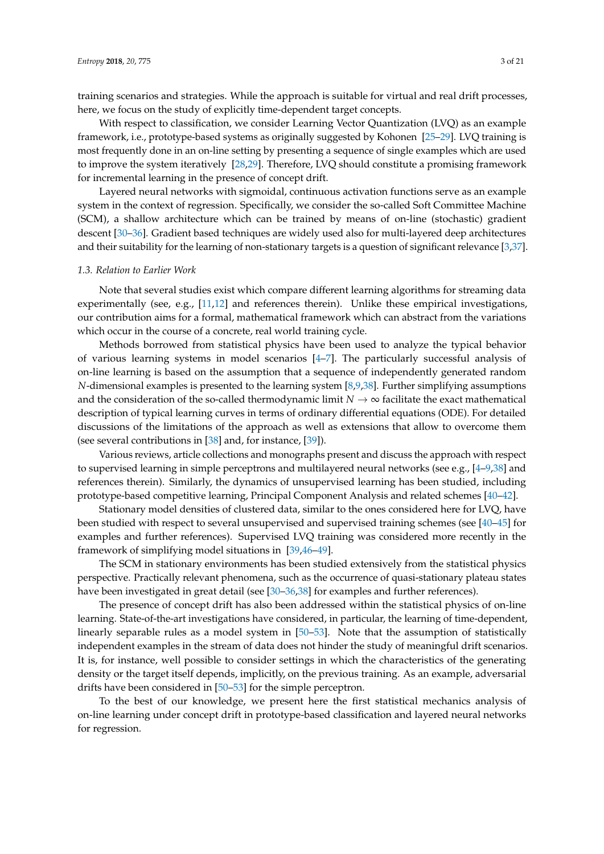training scenarios and strategies. While the approach is suitable for virtual and real drift processes, here, we focus on the study of explicitly time-dependent target concepts.

With respect to classification, we consider Learning Vector Quantization (LVQ) as an example framework, i.e., prototype-based systems as originally suggested by Kohonen [\[25](#page-18-11)[–29\]](#page-18-12). LVQ training is most frequently done in an on-line setting by presenting a sequence of single examples which are used to improve the system iteratively [\[28,](#page-18-13)[29\]](#page-18-12). Therefore, LVQ should constitute a promising framework for incremental learning in the presence of concept drift.

Layered neural networks with sigmoidal, continuous activation functions serve as an example system in the context of regression. Specifically, we consider the so-called Soft Committee Machine (SCM), a shallow architecture which can be trained by means of on-line (stochastic) gradient descent [\[30–](#page-18-14)[36\]](#page-18-15). Gradient based techniques are widely used also for multi-layered deep architectures and their suitability for the learning of non-stationary targets is a question of significant relevance [\[3](#page-17-1)[,37\]](#page-19-0).

#### *1.3. Relation to Earlier Work*

Note that several studies exist which compare different learning algorithms for streaming data experimentally (see, e.g., [\[11](#page-17-5)[,12\]](#page-18-16) and references therein). Unlike these empirical investigations, our contribution aims for a formal, mathematical framework which can abstract from the variations which occur in the course of a concrete, real world training cycle.

Methods borrowed from statistical physics have been used to analyze the typical behavior of various learning systems in model scenarios [\[4](#page-17-2)[–7\]](#page-17-6). The particularly successful analysis of on-line learning is based on the assumption that a sequence of independently generated random *N*-dimensional examples is presented to the learning system [\[8,](#page-17-7)[9,](#page-17-3)[38\]](#page-19-1). Further simplifying assumptions and the consideration of the so-called thermodynamic limit  $N \to \infty$  facilitate the exact mathematical description of typical learning curves in terms of ordinary differential equations (ODE). For detailed discussions of the limitations of the approach as well as extensions that allow to overcome them (see several contributions in [\[38\]](#page-19-1) and, for instance, [\[39\]](#page-19-2)).

Various reviews, article collections and monographs present and discuss the approach with respect to supervised learning in simple perceptrons and multilayered neural networks (see e.g., [\[4–](#page-17-2)[9](#page-17-3)[,38\]](#page-19-1) and references therein). Similarly, the dynamics of unsupervised learning has been studied, including prototype-based competitive learning, Principal Component Analysis and related schemes [\[40](#page-19-3)[–42\]](#page-19-4).

Stationary model densities of clustered data, similar to the ones considered here for LVQ, have been studied with respect to several unsupervised and supervised training schemes (see [\[40](#page-19-3)[–45\]](#page-19-5) for examples and further references). Supervised LVQ training was considered more recently in the framework of simplifying model situations in [\[39](#page-19-2)[,46–](#page-19-6)[49\]](#page-19-7).

The SCM in stationary environments has been studied extensively from the statistical physics perspective. Practically relevant phenomena, such as the occurrence of quasi-stationary plateau states have been investigated in great detail (see [\[30](#page-18-14)[–36](#page-18-15)[,38\]](#page-19-1) for examples and further references).

The presence of concept drift has also been addressed within the statistical physics of on-line learning. State-of-the-art investigations have considered, in particular, the learning of time-dependent, linearly separable rules as a model system in [\[50–](#page-19-8)[53\]](#page-19-9). Note that the assumption of statistically independent examples in the stream of data does not hinder the study of meaningful drift scenarios. It is, for instance, well possible to consider settings in which the characteristics of the generating density or the target itself depends, implicitly, on the previous training. As an example, adversarial drifts have been considered in [\[50–](#page-19-8)[53\]](#page-19-9) for the simple perceptron.

To the best of our knowledge, we present here the first statistical mechanics analysis of on-line learning under concept drift in prototype-based classification and layered neural networks for regression.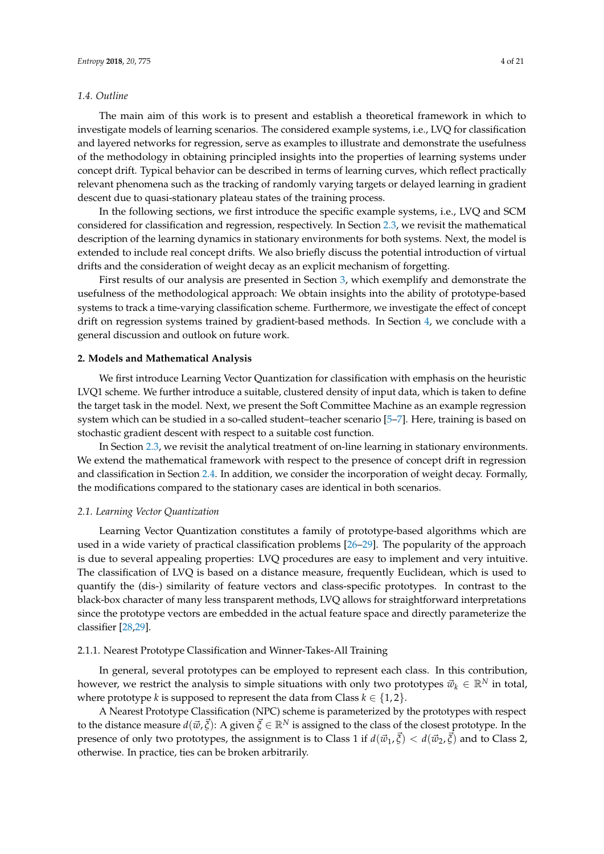#### *1.4. Outline*

The main aim of this work is to present and establish a theoretical framework in which to investigate models of learning scenarios. The considered example systems, i.e., LVQ for classification and layered networks for regression, serve as examples to illustrate and demonstrate the usefulness of the methodology in obtaining principled insights into the properties of learning systems under concept drift. Typical behavior can be described in terms of learning curves, which reflect practically relevant phenomena such as the tracking of randomly varying targets or delayed learning in gradient descent due to quasi-stationary plateau states of the training process.

In the following sections, we first introduce the specific example systems, i.e., LVQ and SCM considered for classification and regression, respectively. In Section [2.3,](#page-7-0) we revisit the mathematical description of the learning dynamics in stationary environments for both systems. Next, the model is extended to include real concept drifts. We also briefly discuss the potential introduction of virtual drifts and the consideration of weight decay as an explicit mechanism of forgetting.

First results of our analysis are presented in Section [3,](#page-11-0) which exemplify and demonstrate the usefulness of the methodological approach: We obtain insights into the ability of prototype-based systems to track a time-varying classification scheme. Furthermore, we investigate the effect of concept drift on regression systems trained by gradient-based methods. In Section [4,](#page-15-0) we conclude with a general discussion and outlook on future work.

## **2. Models and Mathematical Analysis**

We first introduce Learning Vector Quantization for classification with emphasis on the heuristic LVQ1 scheme. We further introduce a suitable, clustered density of input data, which is taken to define the target task in the model. Next, we present the Soft Committee Machine as an example regression system which can be studied in a so-called student–teacher scenario [\[5–](#page-17-8)[7\]](#page-17-6). Here, training is based on stochastic gradient descent with respect to a suitable cost function.

In Section [2.3,](#page-7-0) we revisit the analytical treatment of on-line learning in stationary environments. We extend the mathematical framework with respect to the presence of concept drift in regression and classification in Section [2.4.](#page-10-0) In addition, we consider the incorporation of weight decay. Formally, the modifications compared to the stationary cases are identical in both scenarios.

#### *2.1. Learning Vector Quantization*

Learning Vector Quantization constitutes a family of prototype-based algorithms which are used in a wide variety of practical classification problems [\[26](#page-18-17)[–29\]](#page-18-12). The popularity of the approach is due to several appealing properties: LVQ procedures are easy to implement and very intuitive. The classification of LVQ is based on a distance measure, frequently Euclidean, which is used to quantify the (dis-) similarity of feature vectors and class-specific prototypes. In contrast to the black-box character of many less transparent methods, LVQ allows for straightforward interpretations since the prototype vectors are embedded in the actual feature space and directly parameterize the classifier [\[28,](#page-18-13)[29\]](#page-18-12).

## 2.1.1. Nearest Prototype Classification and Winner-Takes-All Training

In general, several prototypes can be employed to represent each class. In this contribution, however, we restrict the analysis to simple situations with only two prototypes  $\vec{w}_k \in \mathbb{R}^N$  in total, where prototype *k* is supposed to represent the data from Class  $k \in \{1, 2\}$ .

A Nearest Prototype Classification (NPC) scheme is parameterized by the prototypes with respect to the distance measure  $d(\vec{w}, \vec{\xi})$ : A given  $\vec{\xi} \in \mathbb{R}^N$  is assigned to the class of the closest prototype. In the presence of only two prototypes, the assignment is to Class 1 if  $d(\vec{w}_1, \vec{\xi}) < d(\vec{w}_2, \vec{\xi})$  and to Class 2, otherwise. In practice, ties can be broken arbitrarily.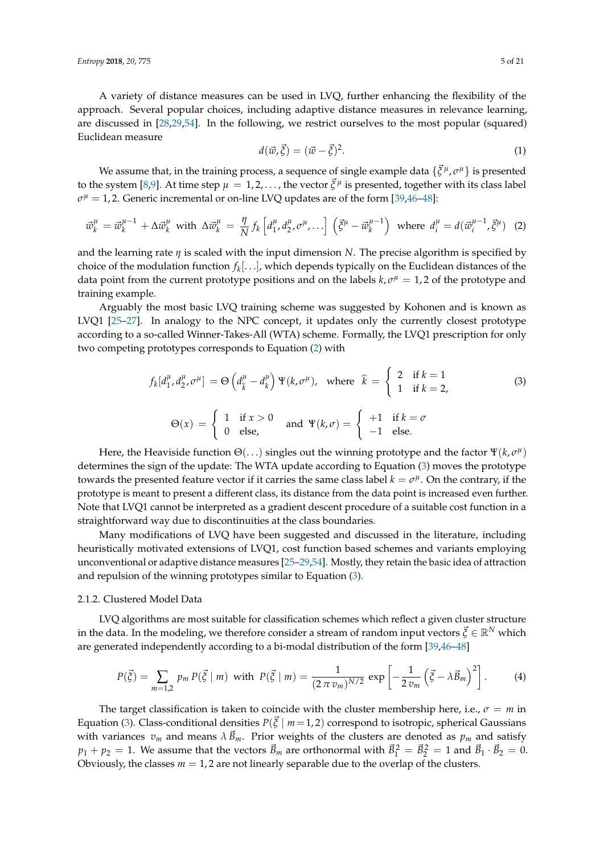A variety of distance measures can be used in LVQ, further enhancing the flexibility of the approach. Several popular choices, including adaptive distance measures in relevance learning, are discussed in [\[28](#page-18-13)[,29](#page-18-12)[,54\]](#page-19-10). In the following, we restrict ourselves to the most popular (squared) Euclidean measure

$$
d(\vec{w}, \vec{\xi}) = (\vec{w} - \vec{\xi})^2.
$$
 (1)

We assume that, in the training process, a sequence of single example data  $\{\vec{\xi}^{\,\mu}, \sigma^\mu\}$  is presented to the system [\[8,](#page-17-7)[9\]](#page-17-3). At time step  $\mu = 1, 2, \ldots$ , the vector  $\vec{\xi}^{\mu}$  is presented, together with its class label  $\sigma^{\mu} = 1$ , 2. Generic incremental or on-line LVQ updates are of the form [\[39](#page-19-2)[,46](#page-19-6)[–48\]](#page-19-11):

<span id="page-4-0"></span>
$$
\vec{w}_k^{\mu} = \vec{w}_k^{\mu-1} + \Delta \vec{w}_k^{\mu} \text{ with } \Delta \vec{w}_k^{\mu} = \frac{\eta}{N} f_k \left[ d_1^{\mu}, d_2^{\mu}, \sigma^{\mu}, \dots \right] \left( \vec{\xi}^{\mu} - \vec{w}_k^{\mu-1} \right) \text{ where } d_i^{\mu} = d(\vec{w}_i^{\mu-1}, \vec{\xi}^{\mu}) \tag{2}
$$

and the learning rate *η* is scaled with the input dimension *N*. The precise algorithm is specified by choice of the modulation function *f<sup>k</sup>* [. . .], which depends typically on the Euclidean distances of the data point from the current prototype positions and on the labels  $k, \sigma^{\mu} = 1, 2$  of the prototype and training example.

Arguably the most basic LVQ training scheme was suggested by Kohonen and is known as LVQ1 [\[25–](#page-18-11)[27\]](#page-18-18). In analogy to the NPC concept, it updates only the currently closest prototype according to a so-called Winner-Takes-All (WTA) scheme. Formally, the LVQ1 prescription for only two competing prototypes corresponds to Equation [\(2\)](#page-4-0) with

<span id="page-4-1"></span>
$$
f_k[d_1^{\mu}, d_2^{\mu}, \sigma^{\mu}] = \Theta\left(d_{\hat{k}}^{\mu} - d_k^{\mu}\right) \Psi(k, \sigma^{\mu}), \text{ where } \hat{k} = \begin{cases} 2 & \text{if } k = 1 \\ 1 & \text{if } k = 2, \end{cases}
$$
  
\n
$$
\Theta(x) = \begin{cases} 1 & \text{if } x > 0 \\ 0 & \text{else,} \end{cases} \text{ and } \Psi(k, \sigma) = \begin{cases} +1 & \text{if } k = \sigma \\ -1 & \text{else.} \end{cases}
$$
 (3)

Here, the Heaviside function  $\Theta(\ldots)$  singles out the winning prototype and the factor  $\Psi(k,\sigma^{\mu})$ determines the sign of the update: The WTA update according to Equation [\(3\)](#page-4-1) moves the prototype towards the presented feature vector if it carries the same class label  $k = \sigma^{\mu}$ . On the contrary, if the prototype is meant to present a different class, its distance from the data point is increased even further. Note that LVQ1 cannot be interpreted as a gradient descent procedure of a suitable cost function in a straightforward way due to discontinuities at the class boundaries.

Many modifications of LVQ have been suggested and discussed in the literature, including heuristically motivated extensions of LVQ1, cost function based schemes and variants employing unconventional or adaptive distance measures [\[25](#page-18-11)[–29,](#page-18-12)[54\]](#page-19-10). Mostly, they retain the basic idea of attraction and repulsion of the winning prototypes similar to Equation [\(3\)](#page-4-1).

#### 2.1.2. Clustered Model Data

LVQ algorithms are most suitable for classification schemes which reflect a given cluster structure in the data. In the modeling, we therefore consider a stream of random input vectors  $\vec{\zeta} \in \mathbb{R}^N$  which are generated independently according to a bi-modal distribution of the form [\[39](#page-19-2)[,46–](#page-19-6)[48\]](#page-19-11)

<span id="page-4-2"></span>
$$
P(\vec{\xi}) = \sum_{m=1,2} p_m P(\vec{\xi} \mid m) \text{ with } P(\vec{\xi} \mid m) = \frac{1}{(2 \pi v_m)^{N/2}} \exp \left[ -\frac{1}{2 v_m} \left( \vec{\xi} - \lambda \vec{B}_m \right)^2 \right]. \tag{4}
$$

The target classification is taken to coincide with the cluster membership here, i.e.,  $\sigma = m$  in Equation [\(3\)](#page-4-1). Class-conditional densities  $P(\vec{\xi} \mid m=1, 2)$  correspond to isotropic, spherical Gaussians with variances  $v_m$  and means  $\lambda \vec{B}_m$ . Prior weights of the clusters are denoted as  $p_m$  and satisfy  $p_1 + p_2 = 1$ . We assume that the vectors  $\vec{B}_m$  are orthonormal with  $\vec{B}_1^2 = \vec{B}_2^2 = 1$  and  $\vec{B}_1 \cdot \vec{B}_2 = 0$ . Obviously, the classes  $m = 1$ , 2 are not linearly separable due to the overlap of the clusters.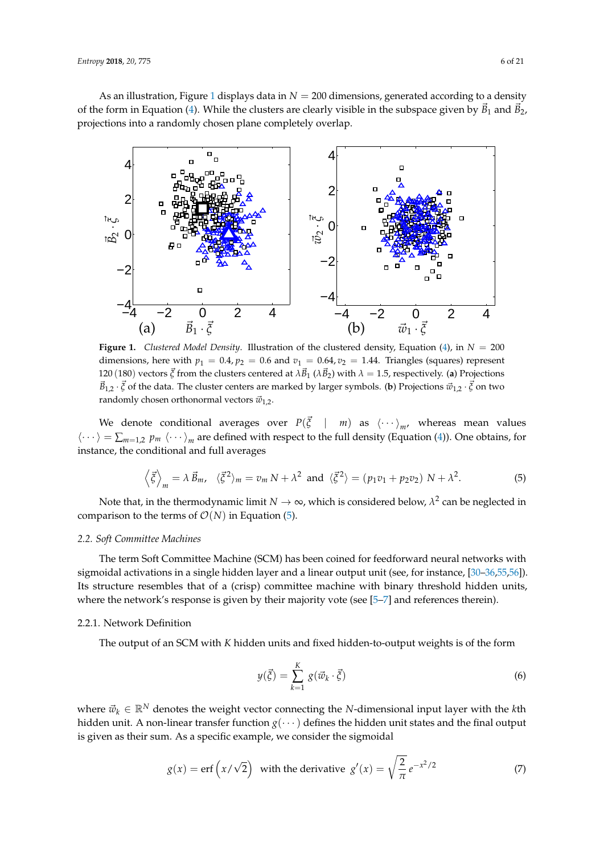As an illustration, Figure [1](#page-5-0) displays data in  $N = 200$  dimensions, generated according to a density of the form in Equation [\(4\)](#page-4-2). While the clusters are clearly visible in the subspace given by  $\bar{B}_1$  and  $\bar{B}_2$ , projections into a randomly chosen plane completely overlap.

<span id="page-5-0"></span>

**Figure 1.** *Clustered Model Density.* Illustration of the clustered density, Equation [\(4\)](#page-4-2), in  $N = 200$ dimensions, here with  $p_1 = 0.4$ ,  $p_2 = 0.6$  and  $v_1 = 0.64$ ,  $v_2 = 1.44$ . Triangles (squares) represent 120 (180) vectors  $\vec{\zeta}$  from the clusters centered at  $\lambda \vec{B}_1$  ( $\lambda \vec{B}_2$ ) with  $\lambda = 1.5$ , respectively. (a) Projections  $\vec{B}_{1,2} \cdot \vec{\xi}$  of the data. The cluster centers are marked by larger symbols. (**b**) Projections  $\vec{w}_{1,2} \cdot \vec{\xi}$  on two randomly chosen orthonormal vectors  $\vec{w}_{1,2}$ .

We denote conditional averages over  $P(\vec{\xi} \mid m)$  as  $\langle \cdots \rangle_{m'}$ , whereas mean values  $\langle \cdots \rangle = \sum_{m=1,2} p_m \langle \cdots \rangle_m$  are defined with respect to the full density (Equation [\(4\)](#page-4-2)). One obtains, for instance, the conditional and full averages

<span id="page-5-1"></span>
$$
\left\langle \vec{\xi} \right\rangle_m = \lambda \, \vec{B}_m, \quad \langle \vec{\xi}^2 \rangle_m = v_m \, N + \lambda^2 \, \text{ and } \, \langle \vec{\xi}^2 \rangle = (p_1 v_1 + p_2 v_2) \, N + \lambda^2. \tag{5}
$$

Note that, in the thermodynamic limit  $N\to\infty$ , which is considered below,  $\lambda^2$  can be neglected in comparison to the terms of  $\mathcal{O}(N)$  in Equation [\(5\)](#page-5-1).

## *2.2. Soft Committee Machines*

The term Soft Committee Machine (SCM) has been coined for feedforward neural networks with sigmoidal activations in a single hidden layer and a linear output unit (see, for instance, [\[30–](#page-18-14)[36,](#page-18-15)[55,](#page-19-12)[56\]](#page-19-13)). Its structure resembles that of a (crisp) committee machine with binary threshold hidden units, where the network's response is given by their majority vote (see [5-[7\]](#page-17-6) and references therein).

## 2.2.1. Network Definition

The output of an SCM with *K* hidden units and fixed hidden-to-output weights is of the form

<span id="page-5-2"></span>
$$
y(\vec{\xi}) = \sum_{k=1}^{K} g(\vec{w}_k \cdot \vec{\xi})
$$
 (6)

where  $\vec{w}_k \in \mathbb{R}^N$  denotes the weight vector connecting the *N*-dimensional input layer with the *k*th hidden unit. A non-linear transfer function  $g(\cdots)$  defines the hidden unit states and the final output is given as their sum. As a specific example, we consider the sigmoidal

$$
g(x) = \text{erf}\left(x/\sqrt{2}\right) \text{ with the derivative } g'(x) = \sqrt{\frac{2}{\pi}} e^{-x^2/2} \tag{7}
$$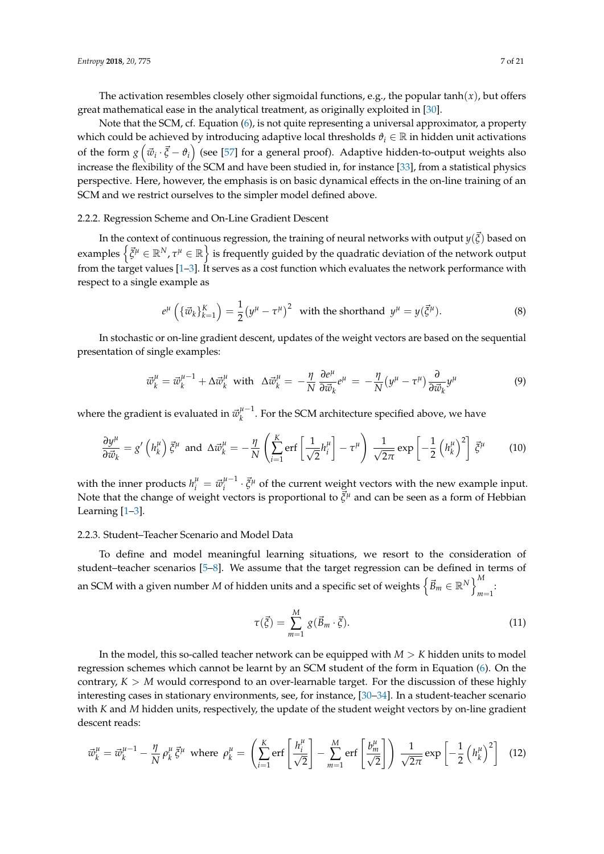The activation resembles closely other sigmoidal functions, e.g., the popular  $tanh(x)$ , but offers great mathematical ease in the analytical treatment, as originally exploited in [\[30\]](#page-18-14).

Note that the SCM, cf. Equation [\(6\)](#page-5-2), is not quite representing a universal approximator, a property which could be achieved by introducing adaptive local thresholds  $\vartheta_i \in \mathbb{R}$  in hidden unit activations of the form  $g\left(\vec{w}_i\cdot\vec{\xi}-\vartheta_i\right)$  (see [\[57\]](#page-19-14) for a general proof). Adaptive hidden-to-output weights also increase the flexibility of the SCM and have been studied in, for instance [\[33\]](#page-18-19), from a statistical physics perspective. Here, however, the emphasis is on basic dynamical effects in the on-line training of an SCM and we restrict ourselves to the simpler model defined above.

## 2.2.2. Regression Scheme and On-Line Gradient Descent

In the context of continuous regression, the training of neural networks with output *y*( $\vec{\xi}$ ) based on examples  $\left\{ \vec{\xi}^\mu \in \mathbb{R}^N, \tau^\mu \in \mathbb{R} \right\}$  is frequently guided by the quadratic deviation of the network output from the target values  $[1-3]$  $[1-3]$ . It serves as a cost function which evaluates the network performance with respect to a single example as

$$
e^{\mu}\left(\{\vec{w}_k\}_{k=1}^K\right) = \frac{1}{2}\left(y^{\mu} - \tau^{\mu}\right)^2 \text{ with the shorthand } y^{\mu} = y(\vec{\xi}^{\mu}).
$$
\n(8)

In stochastic or on-line gradient descent, updates of the weight vectors are based on the sequential presentation of single examples:

<span id="page-6-1"></span>
$$
\vec{w}_k^{\mu} = \vec{w}_k^{\mu-1} + \Delta \vec{w}_k^{\mu} \text{ with } \Delta \vec{w}_k^{\mu} = -\frac{\eta}{N} \frac{\partial e^{\mu}}{\partial \vec{w}_k} e^{\mu} = -\frac{\eta}{N} (y^{\mu} - \tau^{\mu}) \frac{\partial}{\partial \vec{w}_k} y^{\mu} \tag{9}
$$

where the gradient is evaluated in  $\vec{w}_{k}^{\mu-1}$ *k* . For the SCM architecture specified above, we have

$$
\frac{\partial y^{\mu}}{\partial \vec{w}_k} = g' \left( h_k^{\mu} \right) \vec{\xi}^{\mu} \text{ and } \Delta \vec{w}_k^{\mu} = -\frac{\eta}{N} \left( \sum_{i=1}^K \text{erf} \left[ \frac{1}{\sqrt{2}} h_i^{\mu} \right] - \tau^{\mu} \right) \frac{1}{\sqrt{2\pi}} \exp \left[ -\frac{1}{2} \left( h_k^{\mu} \right)^2 \right] \vec{\xi}^{\mu} \tag{10}
$$

with the inner products  $h_i^{\mu} = \vec{w}_i^{\mu-1}$  $\vec{g}^{\mu-1} \cdot \vec{\xi}^{\mu}$  of the current weight vectors with the new example input. Note that the change of weight vectors is proportional to  $\vec{\xi}^{\mu}$  and can be seen as a form of Hebbian Learning [\[1](#page-17-0)[–3\]](#page-17-1).

#### 2.2.3. Student–Teacher Scenario and Model Data

To define and model meaningful learning situations, we resort to the consideration of student–teacher scenarios [\[5–](#page-17-8)[8\]](#page-17-7). We assume that the target regression can be defined in terms of an SCM with a given number *M* of hidden units and a specific set of weights  $\left\{ \vec{B}_m \in \mathbb{R}^N \right\}_{m=1}^M$ *m*=1 :

$$
\tau(\vec{\xi}) = \sum_{m=1}^{M} g(\vec{B}_m \cdot \vec{\xi}). \tag{11}
$$

In the model, this so-called teacher network can be equipped with *M* > *K* hidden units to model regression schemes which cannot be learnt by an SCM student of the form in Equation [\(6\)](#page-5-2). On the contrary,  $K > M$  would correspond to an over-learnable target. For the discussion of these highly interesting cases in stationary environments, see, for instance, [\[30–](#page-18-14)[34\]](#page-18-20). In a student-teacher scenario with *K* and *M* hidden units, respectively, the update of the student weight vectors by on-line gradient descent reads:

<span id="page-6-0"></span>
$$
\vec{w}_k^{\mu} = \vec{w}_k^{\mu-1} - \frac{\eta}{N} \rho_k^{\mu} \vec{\xi}^{\mu} \text{ where } \rho_k^{\mu} = \left( \sum_{i=1}^K \text{erf}\left[\frac{h_i^{\mu}}{\sqrt{2}}\right] - \sum_{m=1}^M \text{erf}\left[\frac{b_m^{\mu}}{\sqrt{2}}\right] \right) \frac{1}{\sqrt{2\pi}} \exp\left[-\frac{1}{2} \left(h_k^{\mu}\right)^2\right] \tag{12}
$$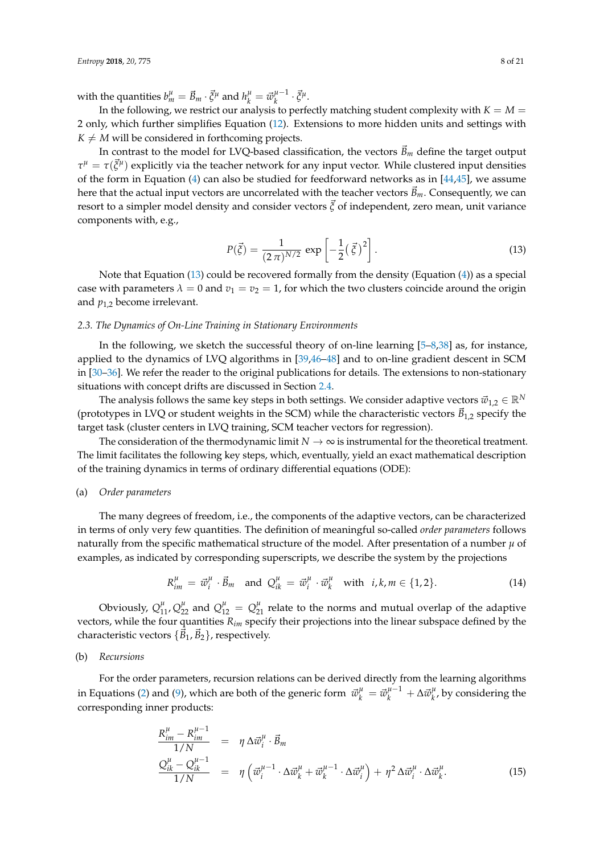with the quantities  $b_m^{\mu} = \vec{B}_m \cdot \vec{\xi}^{\mu}$  and  $h_k^{\mu} = \vec{w}_k^{\mu-1}$  $\frac{\mu-1}{k} \cdot \vec{\xi}^{\mu}$ .

In the following, we restrict our analysis to perfectly matching student complexity with  $K = M =$ 2 only, which further simplifies Equation [\(12\)](#page-6-0). Extensions to more hidden units and settings with  $K \neq M$  will be considered in forthcoming projects.

In contrast to the model for LVQ-based classification, the vectors  $\vec{B}_m$  define the target output  $\tau^{\mu} = \tau(\vec{\xi}^{\mu})$  explicitly via the teacher network for any input vector. While clustered input densities of the form in Equation [\(4\)](#page-4-2) can also be studied for feedforward networks as in  $[44,45]$  $[44,45]$ , we assume here that the actual input vectors are uncorrelated with the teacher vectors  $\vec{B}_m$ . Consequently, we can resort to a simpler model density and consider vectors  $\vec{\zeta}$  of independent, zero mean, unit variance components with, e.g.,

<span id="page-7-1"></span>
$$
P(\vec{\xi}) = \frac{1}{(2\pi)^{N/2}} \exp\left[-\frac{1}{2}(\vec{\xi})^2\right].
$$
 (13)

Note that Equation [\(13\)](#page-7-1) could be recovered formally from the density (Equation [\(4\)](#page-4-2)) as a special case with parameters  $\lambda = 0$  and  $v_1 = v_2 = 1$ , for which the two clusters coincide around the origin and *p*1,2 become irrelevant.

## <span id="page-7-0"></span>*2.3. The Dynamics of On-Line Training in Stationary Environments*

In the following, we sketch the successful theory of on-line learning [\[5–](#page-17-8)[8](#page-17-7)[,38\]](#page-19-1) as, for instance, applied to the dynamics of LVQ algorithms in [\[39,](#page-19-2)[46–](#page-19-6)[48\]](#page-19-11) and to on-line gradient descent in SCM in [\[30–](#page-18-14)[36\]](#page-18-15). We refer the reader to the original publications for details. The extensions to non-stationary situations with concept drifts are discussed in Section [2.4.](#page-10-0)

The analysis follows the same key steps in both settings. We consider adaptive vectors  $\vec{w}_{1,2} \in \mathbb{R}^N$ (prototypes in LVQ or student weights in the SCM) while the characteristic vectors  $\vec{B}_{1,2}$  specify the target task (cluster centers in LVQ training, SCM teacher vectors for regression).

The consideration of the thermodynamic limit  $N \to \infty$  is instrumental for the theoretical treatment. The limit facilitates the following key steps, which, eventually, yield an exact mathematical description of the training dynamics in terms of ordinary differential equations (ODE):

#### (a) *Order parameters*

The many degrees of freedom, i.e., the components of the adaptive vectors, can be characterized in terms of only very few quantities. The definition of meaningful so-called *order parameters* follows naturally from the specific mathematical structure of the model. After presentation of a number  $\mu$  of examples, as indicated by corresponding superscripts, we describe the system by the projections

$$
R_{im}^{\mu} = \vec{w}_i^{\mu} \cdot \vec{B}_m \quad \text{and} \quad Q_{ik}^{\mu} = \vec{w}_i^{\mu} \cdot \vec{w}_k^{\mu} \quad \text{with} \quad i, k, m \in \{1, 2\}. \tag{14}
$$

Obviously,  $Q_{11}^{\mu}$ ,  $Q_{22}^{\mu}$  and  $Q_{12}^{\mu} = Q_{21}^{\mu}$  relate to the norms and mutual overlap of the adaptive vectors, while the four quantities *Rim* specify their projections into the linear subspace defined by the characteristic vectors  $\{\vec{B}_1, \vec{B}_2\}$ , respectively.

#### (b) *Recursions*

For the order parameters, recursion relations can be derived directly from the learning algorithms in Equations [\(2\)](#page-4-0) and [\(9\)](#page-6-1), which are both of the generic form  $\vec{w}_k^\mu = \vec{w}_k^{\mu-1} + \Delta \vec{w}_k^\mu$  $\int_{k}^{\mu}$ , by considering the corresponding inner products:

<span id="page-7-2"></span>
$$
\frac{R_{im}^{\mu} - R_{im}^{\mu - 1}}{1/N} = \eta \Delta \vec{w}_i^{\mu} \cdot \vec{B}_m
$$
\n
$$
\frac{Q_{ik}^{\mu} - Q_{ik}^{\mu - 1}}{1/N} = \eta \left( \vec{w}_i^{\mu - 1} \cdot \Delta \vec{w}_k^{\mu} + \vec{w}_k^{\mu - 1} \cdot \Delta \vec{w}_i^{\mu} \right) + \eta^2 \Delta \vec{w}_i^{\mu} \cdot \Delta \vec{w}_k^{\mu}.
$$
\n(15)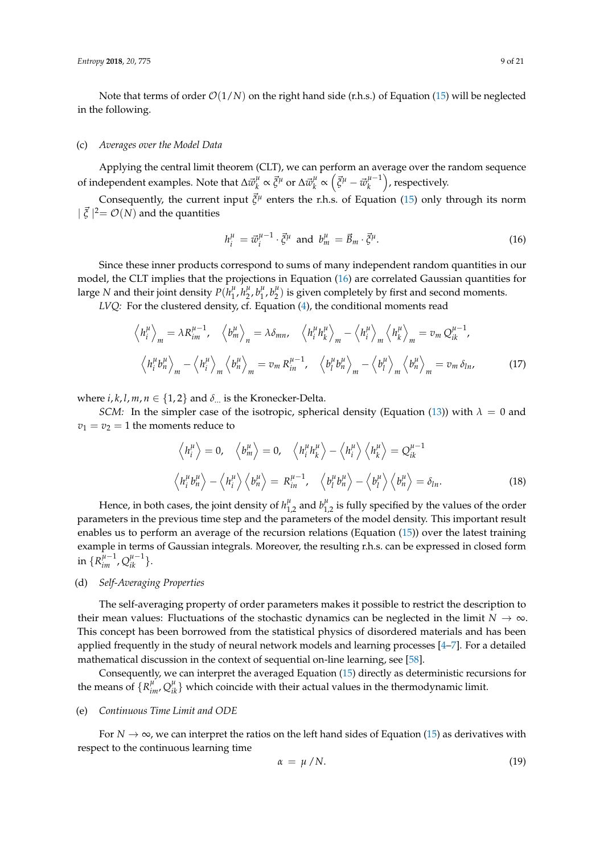Note that terms of order  $\mathcal{O}(1/N)$  on the right hand side (r.h.s.) of Equation [\(15\)](#page-7-2) will be neglected in the following.

#### (c) *Averages over the Model Data*

Applying the central limit theorem (CLT), we can perform an average over the random sequence of independent examples. Note that  $\Delta \vec{w}_k^{\mu}$  $\frac{\mu}{k} \propto \vec{\xi}^{\mu}$  or  $\Delta \vec{w}_{k}^{\mu}$  $\frac{\mu}{k} \propto \left( \vec{\xi}^{\mu} - \vec{w}_{k}^{\mu-1} \right)$  $\binom{\mu-1}{k}$ , respectively.

Consequently, the current input  $\vec{\zeta}^{\mu}$  enters the r.h.s. of Equation [\(15\)](#page-7-2) only through its norm  $\int \vec{\xi} |^2 = \mathcal{O}(N)$  and the quantities

<span id="page-8-0"></span>
$$
h_i^{\mu} = \vec{w}_i^{\mu-1} \cdot \vec{\xi}^{\mu} \text{ and } b_m^{\mu} = \vec{B}_m \cdot \vec{\xi}^{\mu}.
$$
 (16)

Since these inner products correspond to sums of many independent random quantities in our model, the CLT implies that the projections in Equation [\(16\)](#page-8-0) are correlated Gaussian quantities for large *N* and their joint density  $P(h_1^{\mu})$  $\frac{\mu}{1}$ ,  $h_2^{\mu}$  $\frac{\mu}{2}$ ,  $b_1^{\mu}$  $\frac{\mu}{1}$ ,  $b_2^{\mu}$  $\binom{\mu}{2}$  is given completely by first and second moments.

*LVQ*: For the clustered density, cf. Equation [\(4\)](#page-4-2), the conditional moments read

$$
\left\langle h_i^{\mu} \right\rangle_m = \lambda R_{im}^{\mu-1}, \quad \left\langle b_m^{\mu} \right\rangle_n = \lambda \delta_{mn}, \quad \left\langle h_i^{\mu} h_k^{\mu} \right\rangle_m - \left\langle h_i^{\mu} \right\rangle_m \left\langle h_k^{\mu} \right\rangle_m = v_m Q_{ik}^{\mu-1},
$$
\n
$$
\left\langle h_i^{\mu} b_n^{\mu} \right\rangle_m - \left\langle h_i^{\mu} \right\rangle_m \left\langle b_n^{\mu} \right\rangle_m = v_m R_{in}^{\mu-1}, \quad \left\langle b_i^{\mu} b_n^{\mu} \right\rangle_m - \left\langle b_i^{\mu} \right\rangle_m \left\langle b_n^{\mu} \right\rangle_m = v_m \delta_{ln}, \tag{17}
$$

where  $i, k, l, m, n \in \{1, 2\}$  and  $\delta_{\dots}$  is the Kronecker-Delta.

*SCM:* In the simpler case of the isotropic, spherical density (Equation [\(13\)](#page-7-1)) with  $\lambda = 0$  and  $v_1 = v_2 = 1$  the moments reduce to

$$
\left\langle h_i^{\mu} \right\rangle = 0, \quad \left\langle b_m^{\mu} \right\rangle = 0, \quad \left\langle h_i^{\mu} h_k^{\mu} \right\rangle - \left\langle h_i^{\mu} \right\rangle \left\langle h_k^{\mu} \right\rangle = Q_{ik}^{\mu - 1}
$$
\n
$$
\left\langle h_i^{\mu} b_n^{\mu} \right\rangle - \left\langle h_i^{\mu} \right\rangle \left\langle b_n^{\mu} \right\rangle = R_{in}^{\mu - 1}, \quad \left\langle b_i^{\mu} b_n^{\mu} \right\rangle - \left\langle b_i^{\mu} \right\rangle \left\langle b_n^{\mu} \right\rangle = \delta_{ln}. \tag{18}
$$

Hence, in both cases, the joint density of  $h_{1,2}^{\mu}$  and  $b_{1,2}^{\mu}$  is fully specified by the values of the order parameters in the previous time step and the parameters of the model density. This important result enables us to perform an average of the recursion relations (Equation  $(15)$ ) over the latest training example in terms of Gaussian integrals. Moreover, the resulting r.h.s. can be expressed in closed form in  $\{R_{im}^{\mu-1}, Q_{ik}^{\mu-1}\}.$ 

## (d) *Self-Averaging Properties*

The self-averaging property of order parameters makes it possible to restrict the description to their mean values: Fluctuations of the stochastic dynamics can be neglected in the limit  $N \to \infty$ . This concept has been borrowed from the statistical physics of disordered materials and has been applied frequently in the study of neural network models and learning processes [\[4–](#page-17-2)[7\]](#page-17-6). For a detailed mathematical discussion in the context of sequential on-line learning, see [\[58\]](#page-19-16).

Consequently, we can interpret the averaged Equation [\(15\)](#page-7-2) directly as deterministic recursions for the means of  ${R<sup>µ</sup>_{im'}} Q<sup>µ</sup>_{ik}$  which coincide with their actual values in the thermodynamic limit.

#### (e) *Continuous Time Limit and ODE*

For  $N \to \infty$ , we can interpret the ratios on the left hand sides of Equation [\(15\)](#page-7-2) as derivatives with respect to the continuous learning time

$$
\alpha = \mu / N. \tag{19}
$$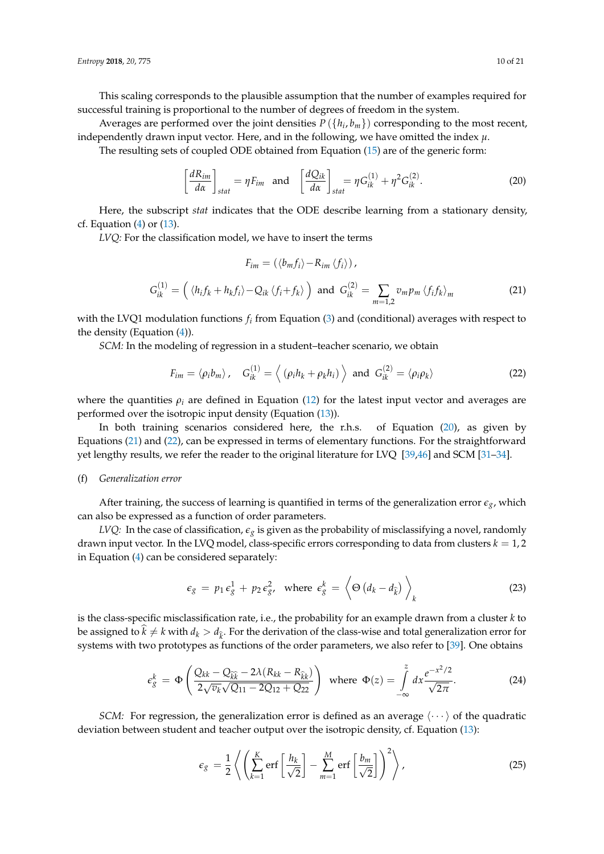This scaling corresponds to the plausible assumption that the number of examples required for successful training is proportional to the number of degrees of freedom in the system.

Averages are performed over the joint densities  $P(\lbrace h_i, b_m \rbrace)$  corresponding to the most recent, independently drawn input vector. Here, and in the following, we have omitted the index  $\mu$ .

The resulting sets of coupled ODE obtained from Equation [\(15\)](#page-7-2) are of the generic form:

<span id="page-9-0"></span>
$$
\left[\frac{dR_{im}}{d\alpha}\right]_{stat} = \eta F_{im} \text{ and } \left[\frac{dQ_{ik}}{d\alpha}\right]_{stat} = \eta G_{ik}^{(1)} + \eta^2 G_{ik}^{(2)}.
$$
 (20)

Here, the subscript *stat* indicates that the ODE describe learning from a stationary density, cf. Equation  $(4)$  or  $(13)$ .

*LVQ:* For the classification model, we have to insert the terms

<span id="page-9-1"></span>
$$
F_{im} = (\langle b_m f_i \rangle - R_{im} \langle f_i \rangle),
$$
  
\n
$$
G_{ik}^{(1)} = \left( \langle h_i f_k + h_k f_i \rangle - Q_{ik} \langle f_i + f_k \rangle \right) \text{ and } G_{ik}^{(2)} = \sum_{m=1,2} v_m p_m \langle f_i f_k \rangle_m
$$
\n(21)

with the LVQ1 modulation functions *f<sup>i</sup>* from Equation [\(3\)](#page-4-1) and (conditional) averages with respect to the density (Equation [\(4\)](#page-4-2)).

*SCM:* In the modeling of regression in a student–teacher scenario, we obtain

<span id="page-9-2"></span>
$$
F_{im} = \langle \rho_i b_m \rangle, \quad G_{ik}^{(1)} = \langle (\rho_i h_k + \rho_k h_i) \rangle \text{ and } G_{ik}^{(2)} = \langle \rho_i \rho_k \rangle \tag{22}
$$

where the quantities  $\rho_i$  are defined in Equation [\(12\)](#page-6-0) for the latest input vector and averages are performed over the isotropic input density (Equation [\(13\)](#page-7-1)).

In both training scenarios considered here, the r.h.s. of Equation [\(20\)](#page-9-0), as given by Equations [\(21\)](#page-9-1) and [\(22\)](#page-9-2), can be expressed in terms of elementary functions. For the straightforward yet lengthy results, we refer the reader to the original literature for LVQ [\[39,](#page-19-2)[46\]](#page-19-6) and SCM [\[31](#page-18-21)-34].

## (f) *Generalization error*

After training, the success of learning is quantified in terms of the generalization error  $\epsilon_{g}$ , which can also be expressed as a function of order parameters.

*LVQ:* In the case of classification,  $\epsilon_g$  is given as the probability of misclassifying a novel, randomly drawn input vector. In the LVQ model, class-specific errors corresponding to data from clusters  $k = 1, 2$ in Equation [\(4\)](#page-4-2) can be considered separately:

$$
\epsilon_g = p_1 \epsilon_g^1 + p_2 \epsilon_{g'}^2 \quad \text{where } \epsilon_g^k = \left\langle \Theta \left( d_k - d_{\widehat{k}} \right) \right\rangle_k \tag{23}
$$

is the class-specific misclassification rate, i.e., the probability for an example drawn from a cluster *k* to be assigned to  $k \neq k$  with  $d_k > d_{\hat{k}}$ . For the derivation of the class-wise and total generalization error for systems with two prototypes as functions of the order parameters, we also refer to [\[39\]](#page-19-2). One obtains

$$
\epsilon_{g}^{k} = \Phi\left(\frac{Q_{kk} - Q_{\widehat{k}\widehat{k}} - 2\lambda (R_{kk} - R_{\widehat{k}k})}{2\sqrt{v_{k}}\sqrt{Q_{11} - 2Q_{12} + Q_{22}}}\right) \text{ where } \Phi(z) = \int_{-\infty}^{z} dx \frac{e^{-x^{2}/2}}{\sqrt{2\pi}}.
$$
 (24)

*SCM:* For regression, the generalization error is defined as an average  $\langle \cdots \rangle$  of the quadratic deviation between student and teacher output over the isotropic density, cf. Equation [\(13\)](#page-7-1):

$$
\epsilon_g = \frac{1}{2} \left\langle \left( \sum_{k=1}^K \text{erf} \left[ \frac{h_k}{\sqrt{2}} \right] - \sum_{m=1}^M \text{erf} \left[ \frac{b_m}{\sqrt{2}} \right] \right)^2 \right\rangle, \tag{25}
$$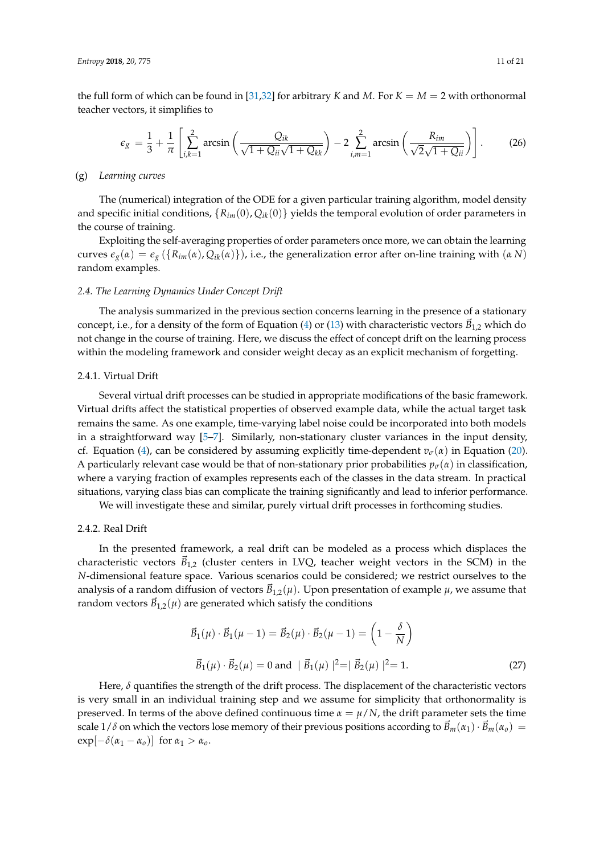the full form of which can be found in [\[31](#page-18-21)[,32\]](#page-18-22) for arbitrary *K* and *M*. For  $K = M = 2$  with orthonormal teacher vectors, it simplifies to

$$
\epsilon_g = \frac{1}{3} + \frac{1}{\pi} \left[ \sum_{i,k=1}^2 \arcsin\left(\frac{Q_{ik}}{\sqrt{1 + Q_{ii}}\sqrt{1 + Q_{kk}}}\right) - 2 \sum_{i,m=1}^2 \arcsin\left(\frac{R_{im}}{\sqrt{2}\sqrt{1 + Q_{ii}}}\right) \right].
$$
 (26)

#### (g) *Learning curves*

The (numerical) integration of the ODE for a given particular training algorithm, model density and specific initial conditions,  ${R_{im}(0), Q_{ik}(0)}$  yields the temporal evolution of order parameters in the course of training.

Exploiting the self-averaging properties of order parameters once more, we can obtain the learning curves  $\epsilon_g(\alpha) = \epsilon_g(\{R_{im}(\alpha), Q_{ik}(\alpha)\})$ , i.e., the generalization error after on-line training with  $(\alpha N)$ random examples.

## <span id="page-10-0"></span>*2.4. The Learning Dynamics Under Concept Drift*

The analysis summarized in the previous section concerns learning in the presence of a stationary concept, i.e., for a density of the form of Equation [\(4\)](#page-4-2) or [\(13\)](#page-7-1) with characteristic vectors  $\vec{B}_{1,2}$  which do not change in the course of training. Here, we discuss the effect of concept drift on the learning process within the modeling framework and consider weight decay as an explicit mechanism of forgetting.

#### 2.4.1. Virtual Drift

Several virtual drift processes can be studied in appropriate modifications of the basic framework. Virtual drifts affect the statistical properties of observed example data, while the actual target task remains the same. As one example, time-varying label noise could be incorporated into both models in a straightforward way [\[5](#page-17-8)[–7\]](#page-17-6). Similarly, non-stationary cluster variances in the input density, cf. Equation [\(4\)](#page-4-2), can be considered by assuming explicitly time-dependent  $v_{\sigma}(\alpha)$  in Equation [\(20\)](#page-9-0). A particularly relevant case would be that of non-stationary prior probabilities  $p_{\sigma}(\alpha)$  in classification, where a varying fraction of examples represents each of the classes in the data stream. In practical situations, varying class bias can complicate the training significantly and lead to inferior performance.

We will investigate these and similar, purely virtual drift processes in forthcoming studies.

## <span id="page-10-2"></span>2.4.2. Real Drift

In the presented framework, a real drift can be modeled as a process which displaces the characteristic vectors  $\vec{B}_{1,2}$  (cluster centers in LVQ, teacher weight vectors in the SCM) in the *N*-dimensional feature space. Various scenarios could be considered; we restrict ourselves to the analysis of a random diffusion of vectors  $\vec{B}_{1,2}(\mu)$ . Upon presentation of example  $\mu$ , we assume that random vectors  $\vec{B}_{1,2}(\mu)$  are generated which satisfy the conditions

<span id="page-10-1"></span>
$$
\vec{B}_1(\mu) \cdot \vec{B}_1(\mu - 1) = \vec{B}_2(\mu) \cdot \vec{B}_2(\mu - 1) = \left(1 - \frac{\delta}{N}\right)
$$
  

$$
\vec{B}_1(\mu) \cdot \vec{B}_2(\mu) = 0 \text{ and } |\vec{B}_1(\mu)|^2 = |\vec{B}_2(\mu)|^2 = 1.
$$
 (27)

Here, *δ* quantifies the strength of the drift process. The displacement of the characteristic vectors is very small in an individual training step and we assume for simplicity that orthonormality is preserved. In terms of the above defined continuous time  $\alpha = \mu/N$ , the drift parameter sets the time scale 1/ $\delta$  on which the vectors lose memory of their previous positions according to  $\vec{B}_m(\alpha_1) \cdot \vec{B}_m(\alpha_0)$  =  $\exp[-\delta(\alpha_1 - \alpha_0)]$  for  $\alpha_1 > \alpha_0$ .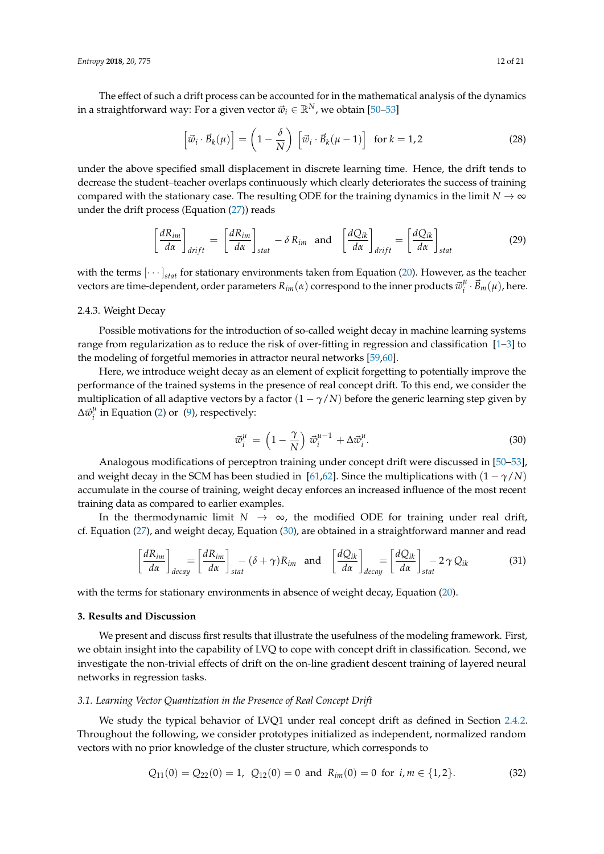The effect of such a drift process can be accounted for in the mathematical analysis of the dynamics in a straightforward way: For a given vector  $\vec{w}_i \in \mathbb{R}^N$ , we obtain [\[50](#page-19-8)[–53\]](#page-19-9)

$$
\left[\vec{w}_i \cdot \vec{B}_k(\mu)\right] = \left(1 - \frac{\delta}{N}\right) \left[\vec{w}_i \cdot \vec{B}_k(\mu - 1)\right] \text{ for } k = 1, 2
$$
 (28)

under the above specified small displacement in discrete learning time. Hence, the drift tends to decrease the student–teacher overlaps continuously which clearly deteriorates the success of training compared with the stationary case. The resulting ODE for the training dynamics in the limit  $N \to \infty$ under the drift process (Equation  $(27)$ ) reads

$$
\left[\frac{dR_{im}}{d\alpha}\right]_{drift} = \left[\frac{dR_{im}}{d\alpha}\right]_{stat} - \delta R_{im} \text{ and } \left[\frac{dQ_{ik}}{d\alpha}\right]_{drift} = \left[\frac{dQ_{ik}}{d\alpha}\right]_{stat}
$$
(29)

with the terms  $[\cdots]_{stat}$  for stationary environments taken from Equation [\(20\)](#page-9-0). However, as the teacher vectors are time-dependent, order parameters  $R_{im}(\alpha)$  correspond to the inner products  $\vec{w}_i^{\mu}$  $\vec{B}_{m}(\mu)$ , here.

## <span id="page-11-2"></span>2.4.3. Weight Decay

Possible motivations for the introduction of so-called weight decay in machine learning systems range from regularization as to reduce the risk of over-fitting in regression and classification [\[1](#page-17-0)[–3\]](#page-17-1) to the modeling of forgetful memories in attractor neural networks [\[59](#page-19-17)[,60\]](#page-19-18).

Here, we introduce weight decay as an element of explicit forgetting to potentially improve the performance of the trained systems in the presence of real concept drift. To this end, we consider the multiplication of all adaptive vectors by a factor  $(1 - \gamma/N)$  before the generic learning step given by  $\Delta \vec{w}^{\mu}_i$  $i_i^{\mu}$  in Equation [\(2\)](#page-4-0) or [\(9\)](#page-6-1), respectively:

<span id="page-11-1"></span>
$$
\vec{w}_i^{\mu} = \left(1 - \frac{\gamma}{N}\right) \vec{w}_i^{\mu - 1} + \Delta \vec{w}_i^{\mu}.
$$
\n(30)

Analogous modifications of perceptron training under concept drift were discussed in [\[50](#page-19-8)[–53\]](#page-19-9), and weight decay in the SCM has been studied in [\[61](#page-19-19)[,62\]](#page-19-20). Since the multiplications with  $(1 - \gamma/N)$ accumulate in the course of training, weight decay enforces an increased influence of the most recent training data as compared to earlier examples.

In the thermodynamic limit  $N \to \infty$ , the modified ODE for training under real drift, cf. Equation [\(27\)](#page-10-1), and weight decay, Equation [\(30\)](#page-11-1), are obtained in a straightforward manner and read

$$
\left[\frac{dR_{im}}{d\alpha}\right]_{decay} = \left[\frac{dR_{im}}{d\alpha}\right]_{stat} - (\delta + \gamma)R_{im} \text{ and } \left[\frac{dQ_{ik}}{d\alpha}\right]_{decay} = \left[\frac{dQ_{ik}}{d\alpha}\right]_{stat} - 2\gamma Q_{ik}
$$
(31)

with the terms for stationary environments in absence of weight decay, Equation [\(20\)](#page-9-0).

## <span id="page-11-0"></span>**3. Results and Discussion**

We present and discuss first results that illustrate the usefulness of the modeling framework. First, we obtain insight into the capability of LVQ to cope with concept drift in classification. Second, we investigate the non-trivial effects of drift on the on-line gradient descent training of layered neural networks in regression tasks.

## *3.1. Learning Vector Quantization in the Presence of Real Concept Drift*

We study the typical behavior of LVQ1 under real concept drift as defined in Section [2.4.2.](#page-10-2) Throughout the following, we consider prototypes initialized as independent, normalized random vectors with no prior knowledge of the cluster structure, which corresponds to

$$
Q_{11}(0) = Q_{22}(0) = 1, \ Q_{12}(0) = 0 \text{ and } R_{im}(0) = 0 \text{ for } i, m \in \{1, 2\}. \tag{32}
$$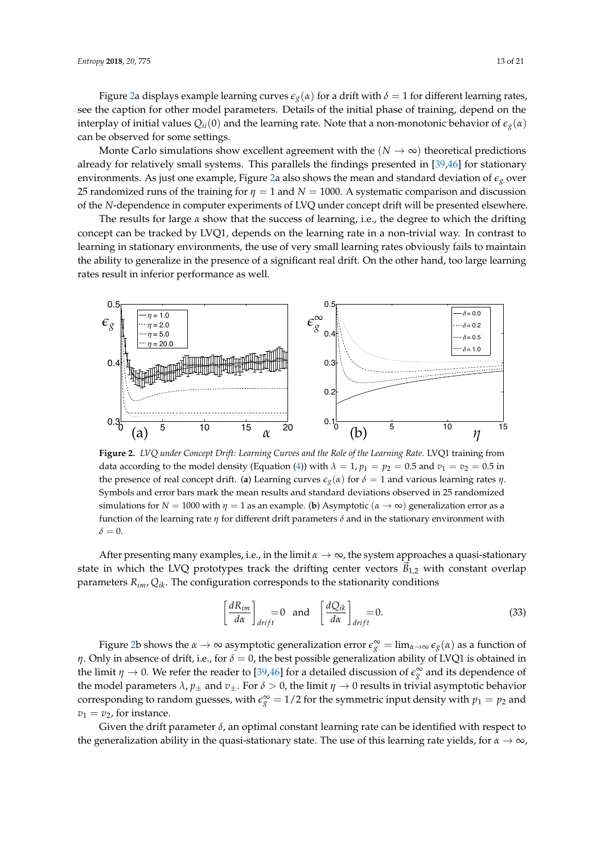Figure [2a](#page-12-0) displays example learning curves  $\epsilon_g(\alpha)$  for a drift with  $\delta = 1$  for different learning rates, see the caption for other model parameters. Details of the initial phase of training, depend on the interplay of initial values  $Q_{ii}(0)$  and the learning rate. Note that a non-monotonic behavior of  $\epsilon_g(\alpha)$ can be observed for some settings.

Monte Carlo simulations show excellent agreement with the  $(N \to \infty)$  theoretical predictions already for relatively small systems. This parallels the findings presented in [\[39,](#page-19-2)[46\]](#page-19-6) for stationary environments. As just one example, Figure [2a](#page-12-0) also shows the mean and standard deviation of  $\epsilon_g$  over 25 randomized runs of the training for  $\eta = 1$  and  $N = 1000$ . A systematic comparison and discussion of the *N*-dependence in computer experiments of LVQ under concept drift will be presented elsewhere.

The results for large *α* show that the success of learning, i.e., the degree to which the drifting concept can be tracked by LVQ1, depends on the learning rate in a non-trivial way. In contrast to learning in stationary environments, the use of very small learning rates obviously fails to maintain the ability to generalize in the presence of a significant real drift. On the other hand, too large learning rates result in inferior performance as well.

<span id="page-12-0"></span>

**Figure 2.** *LVQ under Concept Drift: Learning Curves and the Role of the Learning Rate*. LVQ1 training from data according to the model density (Equation [\(4\)](#page-4-2)) with  $\lambda = 1$ ,  $p_1 = p_2 = 0.5$  and  $v_1 = v_2 = 0.5$  in the presence of real concept drift. (**a**) Learning curves  $\epsilon_g(\alpha)$  for  $\delta = 1$  and various learning rates *η*. Symbols and error bars mark the mean results and standard deviations observed in 25 randomized simulations for  $N = 1000$  with  $\eta = 1$  as an example. (**b**) Asymptotic  $(\alpha \to \infty)$  generalization error as a function of the learning rate *η* for different drift parameters *δ* and in the stationary environment with  $\delta = 0$ .

After presenting many examples, i.e., in the limit  $\alpha \to \infty$ , the system approaches a quasi-stationary state in which the LVQ prototypes track the drifting center vectors  $B_{1,2}$  with constant overlap parameters *Rim*, *Qik*. The configuration corresponds to the stationarity conditions

$$
\left[\frac{dR_{im}}{d\alpha}\right]_{drift} = 0 \quad \text{and} \quad \left[\frac{dQ_{ik}}{d\alpha}\right]_{drift} = 0. \tag{33}
$$

Figure [2b](#page-12-0) shows the  $\alpha \to \infty$  asymptotic generalization error  $\epsilon_g^{\infty} = \lim_{\alpha \to \infty} \epsilon_g(\alpha)$  as a function of *η*. Only in absence of drift, i.e., for  $\delta = 0$ , the best possible generalization ability of LVQ1 is obtained in the limit  $\eta \to 0$ . We refer the reader to [\[39](#page-19-2)[,46\]](#page-19-6) for a detailed discussion of  $\epsilon_g^{\infty}$  and its dependence of the model parameters  $\lambda$ ,  $p_{\pm}$  and  $v_{\pm}$ . For  $\delta > 0$ , the limit  $\eta \to 0$  results in trivial asymptotic behavior corresponding to random guesses, with  $\epsilon_g^{\infty} = 1/2$  for the symmetric input density with  $p_1 = p_2$  and  $v_1 = v_2$ , for instance.

Given the drift parameter  $\delta$ , an optimal constant learning rate can be identified with respect to the generalization ability in the quasi-stationary state. The use of this learning rate yields, for  $\alpha \to \infty$ ,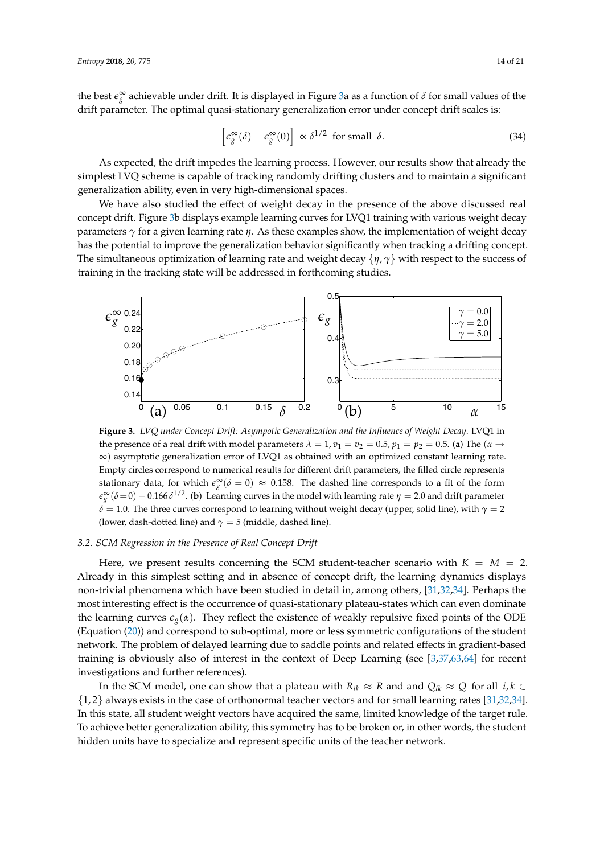the best  $\epsilon_g^{\infty}$  achievable under drift. It is displayed in Figure [3a](#page-13-0) as a function of  $\delta$  for small values of the drift parameter. The optimal quasi-stationary generalization error under concept drift scales is:

$$
\left[\epsilon_g^{\infty}(\delta) - \epsilon_g^{\infty}(0)\right] \propto \delta^{1/2} \text{ for small } \delta.
$$
 (34)

As expected, the drift impedes the learning process. However, our results show that already the simplest LVQ scheme is capable of tracking randomly drifting clusters and to maintain a significant generalization ability, even in very high-dimensional spaces.

We have also studied the effect of weight decay in the presence of the above discussed real concept drift. Figure [3b](#page-13-0) displays example learning curves for LVQ1 training with various weight decay parameters *γ* for a given learning rate *η*. As these examples show, the implementation of weight decay has the potential to improve the generalization behavior significantly when tracking a drifting concept. The simultaneous optimization of learning rate and weight decay {*η*, *γ*} with respect to the success of training in the tracking state will be addressed in forthcoming studies.

<span id="page-13-0"></span>

**Figure 3.** *LVQ under Concept Drift: Asympotic Generalization and the Influence of Weight Decay*. LVQ1 in the presence of a real drift with model parameters  $λ = 1$ ,  $v_1 = v_2 = 0.5$ ,  $p_1 = p_2 = 0.5$ . (a) The ( $α \rightarrow$ ∞) asymptotic generalization error of LVQ1 as obtained with an optimized constant learning rate. Empty circles correspond to numerical results for different drift parameters, the filled circle represents stationary data, for which  $\epsilon_g^{\infty}(\delta = 0) \approx 0.158$ . The dashed line corresponds to a fit of the form  $\epsilon_g^{\infty}(\delta=0) + 0.166 \, \delta^{1/2}$ . (**b**) Learning curves in the model with learning rate  $\eta = 2.0$  and drift parameter  $\delta$  = 1.0. The three curves correspond to learning without weight decay (upper, solid line), with  $\gamma$  = 2 (lower, dash-dotted line) and  $\gamma = 5$  (middle, dashed line).

## *3.2. SCM Regression in the Presence of Real Concept Drift*

Here, we present results concerning the SCM student-teacher scenario with  $K = M = 2$ . Already in this simplest setting and in absence of concept drift, the learning dynamics displays non-trivial phenomena which have been studied in detail in, among others, [\[31](#page-18-21)[,32,](#page-18-22)[34\]](#page-18-20). Perhaps the most interesting effect is the occurrence of quasi-stationary plateau-states which can even dominate the learning curves  $\epsilon_g(\alpha)$ . They reflect the existence of weakly repulsive fixed points of the ODE (Equation [\(20\)](#page-9-0)) and correspond to sub-optimal, more or less symmetric configurations of the student network. The problem of delayed learning due to saddle points and related effects in gradient-based training is obviously also of interest in the context of Deep Learning (see [\[3](#page-17-1)[,37](#page-19-0)[,63](#page-20-0)[,64\]](#page-20-1) for recent investigations and further references).

In the SCM model, one can show that a plateau with  $R_{ik} \approx R$  and and  $Q_{ik} \approx Q$  for all  $i, k \in$ {1, 2} always exists in the case of orthonormal teacher vectors and for small learning rates [\[31,](#page-18-21)[32,](#page-18-22)[34\]](#page-18-20). In this state, all student weight vectors have acquired the same, limited knowledge of the target rule. To achieve better generalization ability, this symmetry has to be broken or, in other words, the student hidden units have to specialize and represent specific units of the teacher network.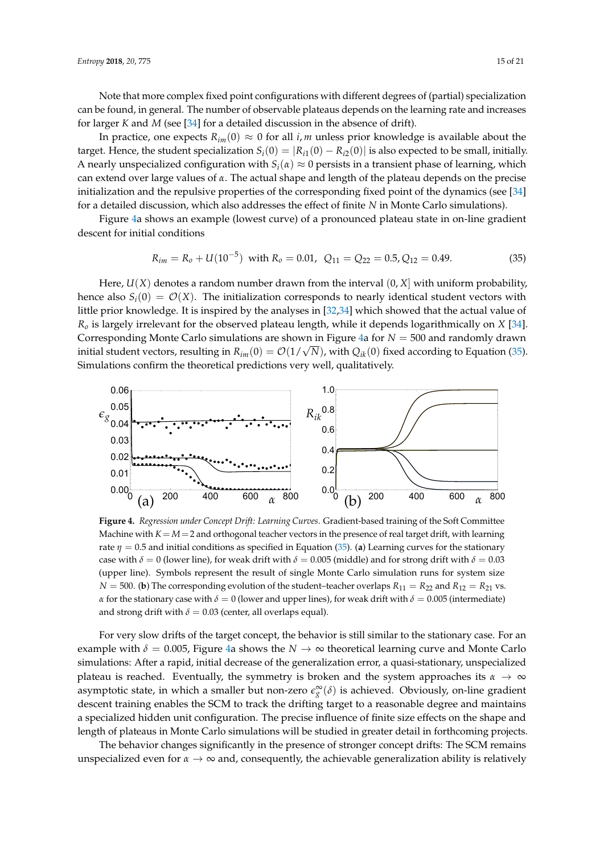Note that more complex fixed point configurations with different degrees of (partial) specialization can be found, in general. The number of observable plateaus depends on the learning rate and increases for larger *K* and *M* (see [\[34\]](#page-18-20) for a detailed discussion in the absence of drift).

In practice, one expects  $R_{im}(0) \approx 0$  for all *i*, *m* unless prior knowledge is available about the target. Hence, the student specialization  $S_i(0) = |R_{i1}(0) - R_{i2}(0)|$  is also expected to be small, initially. A nearly unspecialized configuration with  $S_i(\alpha) \approx 0$  persists in a transient phase of learning, which can extend over large values of *α*. The actual shape and length of the plateau depends on the precise initialization and the repulsive properties of the corresponding fixed point of the dynamics (see [\[34\]](#page-18-20) for a detailed discussion, which also addresses the effect of finite *N* in Monte Carlo simulations).

Figure [4a](#page-14-0) shows an example (lowest curve) of a pronounced plateau state in on-line gradient descent for initial conditions

<span id="page-14-1"></span>
$$
R_{im} = R_o + U(10^{-5}) \text{ with } R_o = 0.01, \ Q_{11} = Q_{22} = 0.5, Q_{12} = 0.49. \tag{35}
$$

Here,  $U(X)$  denotes a random number drawn from the interval  $(0, X]$  with uniform probability, hence also  $S_i(0) = \mathcal{O}(X)$ . The initialization corresponds to nearly identical student vectors with little prior knowledge. It is inspired by the analyses in [\[32](#page-18-22)[,34\]](#page-18-20) which showed that the actual value of *R<sup>o</sup>* is largely irrelevant for the observed plateau length, while it depends logarithmically on *X* [\[34\]](#page-18-20). Corresponding Monte Carlo simulations are shown in Figure [4a](#page-14-0) for  $N = 500$  and randomly drawn initial student vectors, resulting in  $R_{im}(0) = \mathcal{O}(1/\sqrt{N})$ , with  $Q_{ik}(0)$  fixed according to Equation [\(35\)](#page-14-1). Simulations confirm the theoretical predictions very well, qualitatively.

<span id="page-14-0"></span>

**Figure 4.** *Regression under Concept Drift: Learning Curves*. Gradient-based training of the Soft Committee Machine with  $K = M = 2$  and orthogonal teacher vectors in the presence of real target drift, with learning rate  $\eta = 0.5$  and initial conditions as specified in Equation [\(35\)](#page-14-1). (**a**) Learning curves for the stationary case with  $\delta = 0$  (lower line), for weak drift with  $\delta = 0.005$  (middle) and for strong drift with  $\delta = 0.03$ (upper line). Symbols represent the result of single Monte Carlo simulation runs for system size  $N = 500$ . (**b**) The corresponding evolution of the student–teacher overlaps  $R_{11} = R_{22}$  and  $R_{12} = R_{21}$  vs. *α* for the stationary case with  $\delta = 0$  (lower and upper lines), for weak drift with  $\delta = 0.005$  (intermediate) and strong drift with  $\delta = 0.03$  (center, all overlaps equal).

For very slow drifts of the target concept, the behavior is still similar to the stationary case. For an example with  $\delta = 0.005$ , Figure [4a](#page-14-0) shows the  $N \to \infty$  theoretical learning curve and Monte Carlo simulations: After a rapid, initial decrease of the generalization error, a quasi-stationary, unspecialized plateau is reached. Eventually, the symmetry is broken and the system approaches its *α* → ∞ asymptotic state, in which a smaller but non-zero  $\epsilon_g^{\infty}(\delta)$  is achieved. Obviously, on-line gradient descent training enables the SCM to track the drifting target to a reasonable degree and maintains a specialized hidden unit configuration. The precise influence of finite size effects on the shape and length of plateaus in Monte Carlo simulations will be studied in greater detail in forthcoming projects.

The behavior changes significantly in the presence of stronger concept drifts: The SCM remains unspecialized even for  $\alpha \to \infty$  and, consequently, the achievable generalization ability is relatively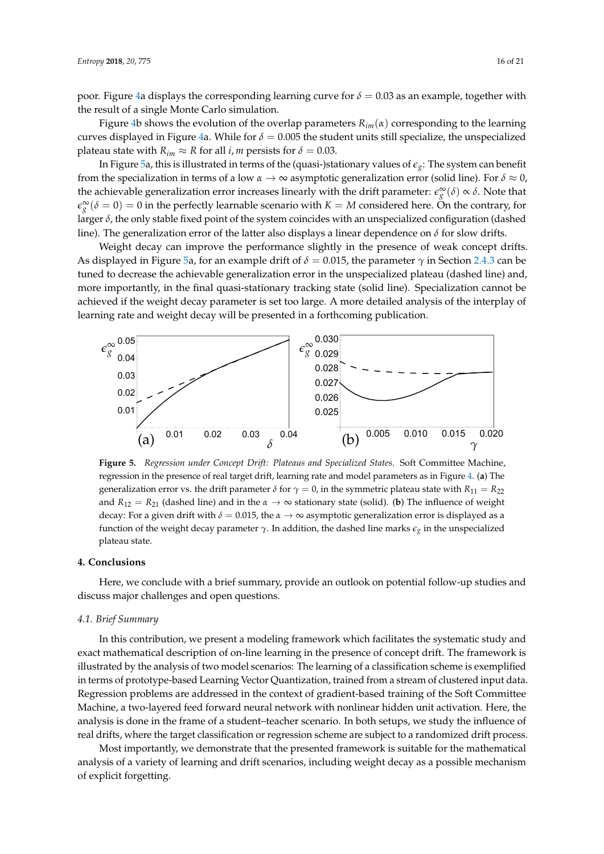poor. Figure [4a](#page-14-0) displays the corresponding learning curve for  $\delta = 0.03$  as an example, together with the result of a single Monte Carlo simulation.

Figure [4b](#page-14-0) shows the evolution of the overlap parameters  $R_{im}(\alpha)$  corresponding to the learning curves displayed in Figure [4a](#page-14-0). While for  $\delta = 0.005$  the student units still specialize, the unspecialized plateau state with  $R_{im} \approx R$  for all *i*, *m* persists for  $\delta = 0.03$ .

In Figure [5a](#page-15-1), this is illustrated in terms of the (quasi-)stationary values of  $\epsilon_g$ : The system can benefit from the specialization in terms of a low *α* → ∞ asymptotic generalization error (solid line). For *δ* ≈ 0, the achievable generalization error increases linearly with the drift parameter:  $\epsilon_g^{\infty}(\delta) \propto \delta$ . Note that  $\epsilon_g^{\infty}(\delta=0)=0$  in the perfectly learnable scenario with  $K=M$  considered here. On the contrary, for larger *δ*, the only stable fixed point of the system coincides with an unspecialized configuration (dashed line). The generalization error of the latter also displays a linear dependence on *δ* for slow drifts.

Weight decay can improve the performance slightly in the presence of weak concept drifts. As displayed in Figure [5a](#page-15-1), for an example drift of  $\delta = 0.015$ , the parameter  $\gamma$  in Section [2.4.3](#page-11-2) can be tuned to decrease the achievable generalization error in the unspecialized plateau (dashed line) and, more importantly, in the final quasi-stationary tracking state (solid line). Specialization cannot be achieved if the weight decay parameter is set too large. A more detailed analysis of the interplay of learning rate and weight decay will be presented in a forthcoming publication.

<span id="page-15-1"></span>

**Figure 5.** *Regression under Concept Drift: Plateaus and Specialized States*. Soft Committee Machine, regression in the presence of real target drift, learning rate and model parameters as in Figure [4.](#page-14-0) (**a**) The generalization error vs. the drift parameter  $\delta$  for  $\gamma = 0$ , in the symmetric plateau state with  $R_{11} = R_{22}$ and *R*<sup>12</sup> = *R*<sup>21</sup> (dashed line) and in the *α* → ∞ stationary state (solid). (**b**) The influence of weight decay: For a given drift with *δ* = 0.015, the *α* → ∞ asymptotic generalization error is displayed as a function of the weight decay parameter *γ*. In addition, the dashed line marks *eg* in the unspecialized plateau state.

#### <span id="page-15-0"></span>**4. Conclusions**

Here, we conclude with a brief summary, provide an outlook on potential follow-up studies and discuss major challenges and open questions.

#### *4.1. Brief Summary*

In this contribution, we present a modeling framework which facilitates the systematic study and exact mathematical description of on-line learning in the presence of concept drift. The framework is illustrated by the analysis of two model scenarios: The learning of a classification scheme is exemplified in terms of prototype-based Learning Vector Quantization, trained from a stream of clustered input data. Regression problems are addressed in the context of gradient-based training of the Soft Committee Machine, a two-layered feed forward neural network with nonlinear hidden unit activation. Here, the analysis is done in the frame of a student–teacher scenario. In both setups, we study the influence of real drifts, where the target classification or regression scheme are subject to a randomized drift process.

Most importantly, we demonstrate that the presented framework is suitable for the mathematical analysis of a variety of learning and drift scenarios, including weight decay as a possible mechanism of explicit forgetting.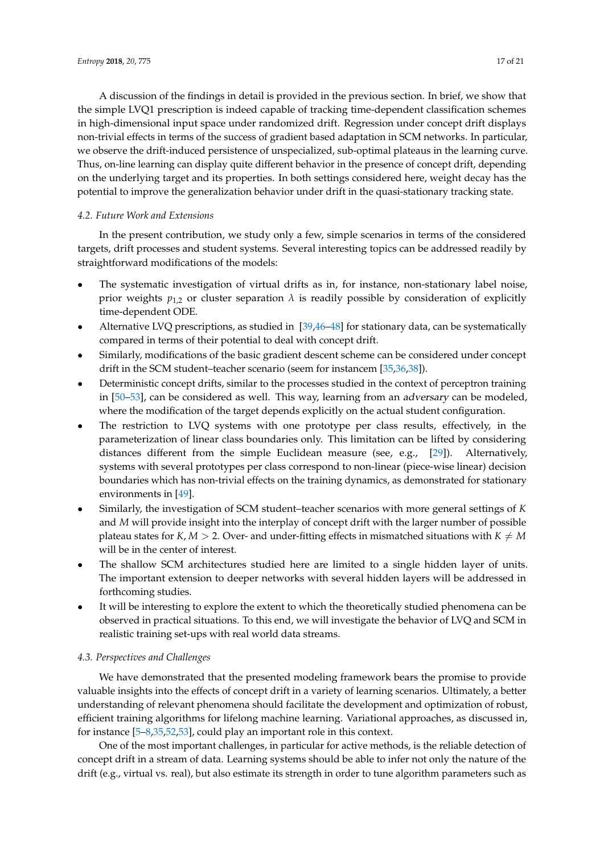A discussion of the findings in detail is provided in the previous section. In brief, we show that the simple LVQ1 prescription is indeed capable of tracking time-dependent classification schemes in high-dimensional input space under randomized drift. Regression under concept drift displays non-trivial effects in terms of the success of gradient based adaptation in SCM networks. In particular, we observe the drift-induced persistence of unspecialized, sub-optimal plateaus in the learning curve. Thus, on-line learning can display quite different behavior in the presence of concept drift, depending

on the underlying target and its properties. In both settings considered here, weight decay has the potential to improve the generalization behavior under drift in the quasi-stationary tracking state.

## *4.2. Future Work and Extensions*

In the present contribution, we study only a few, simple scenarios in terms of the considered targets, drift processes and student systems. Several interesting topics can be addressed readily by straightforward modifications of the models:

- The systematic investigation of virtual drifts as in, for instance, non-stationary label noise, prior weights  $p_{1,2}$  or cluster separation  $\lambda$  is readily possible by consideration of explicitly time-dependent ODE.
- Alternative LVQ prescriptions, as studied in [\[39](#page-19-2)[,46–](#page-19-6)[48\]](#page-19-11) for stationary data, can be systematically compared in terms of their potential to deal with concept drift.
- Similarly, modifications of the basic gradient descent scheme can be considered under concept drift in the SCM student–teacher scenario (seem for instancem [\[35,](#page-18-23)[36,](#page-18-15)[38\]](#page-19-1)).
- Deterministic concept drifts, similar to the processes studied in the context of perceptron training in [\[50](#page-19-8)[–53\]](#page-19-9), can be considered as well. This way, learning from an adversary can be modeled, where the modification of the target depends explicitly on the actual student configuration.
- The restriction to LVQ systems with one prototype per class results, effectively, in the parameterization of linear class boundaries only. This limitation can be lifted by considering distances different from the simple Euclidean measure (see, e.g., [\[29\]](#page-18-12)). Alternatively, systems with several prototypes per class correspond to non-linear (piece-wise linear) decision boundaries which has non-trivial effects on the training dynamics, as demonstrated for stationary environments in [\[49\]](#page-19-7).
- Similarly, the investigation of SCM student–teacher scenarios with more general settings of *K* and *M* will provide insight into the interplay of concept drift with the larger number of possible plateau states for *K*, *M* > 2. Over- and under-fitting effects in mismatched situations with  $K \neq M$ will be in the center of interest.
- The shallow SCM architectures studied here are limited to a single hidden layer of units. The important extension to deeper networks with several hidden layers will be addressed in forthcoming studies.
- It will be interesting to explore the extent to which the theoretically studied phenomena can be observed in practical situations. To this end, we will investigate the behavior of LVQ and SCM in realistic training set-ups with real world data streams.

## *4.3. Perspectives and Challenges*

We have demonstrated that the presented modeling framework bears the promise to provide valuable insights into the effects of concept drift in a variety of learning scenarios. Ultimately, a better understanding of relevant phenomena should facilitate the development and optimization of robust, efficient training algorithms for lifelong machine learning. Variational approaches, as discussed in, for instance [\[5–](#page-17-8)[8,](#page-17-7)[35,](#page-18-23)[52,](#page-19-21)[53\]](#page-19-9), could play an important role in this context.

One of the most important challenges, in particular for active methods, is the reliable detection of concept drift in a stream of data. Learning systems should be able to infer not only the nature of the drift (e.g., virtual vs. real), but also estimate its strength in order to tune algorithm parameters such as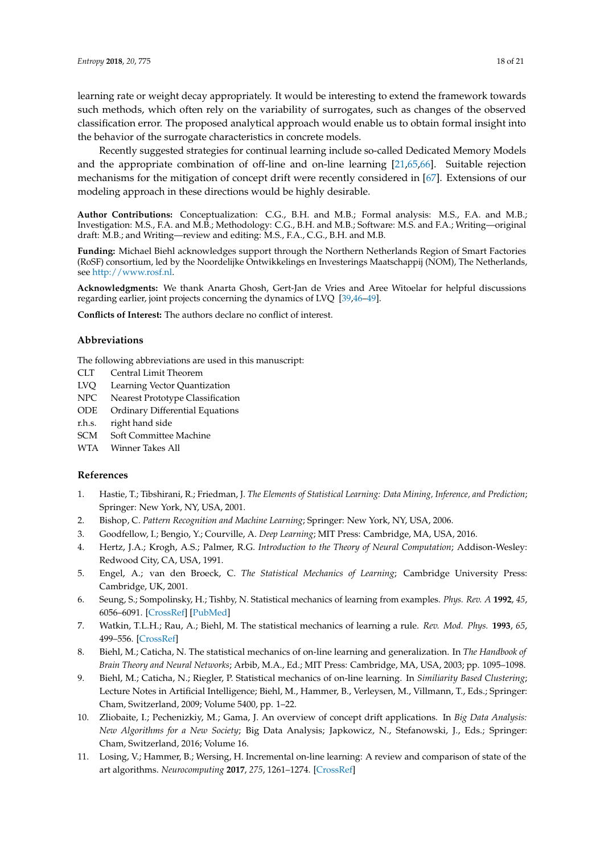learning rate or weight decay appropriately. It would be interesting to extend the framework towards such methods, which often rely on the variability of surrogates, such as changes of the observed classification error. The proposed analytical approach would enable us to obtain formal insight into the behavior of the surrogate characteristics in concrete models.

Recently suggested strategies for continual learning include so-called Dedicated Memory Models and the appropriate combination of off-line and on-line learning [\[21](#page-18-7)[,65](#page-20-2)[,66\]](#page-20-3). Suitable rejection mechanisms for the mitigation of concept drift were recently considered in [\[67\]](#page-20-4). Extensions of our modeling approach in these directions would be highly desirable.

**Author Contributions:** Conceptualization: C.G., B.H. and M.B.; Formal analysis: M.S., F.A. and M.B.; Investigation: M.S., F.A. and M.B.; Methodology: C.G., B.H. and M.B.; Software: M.S. and F.A.; Writing—original draft: M.B.; and Writing—review and editing: M.S., F.A., C.G., B.H. and M.B.

**Funding:** Michael Biehl acknowledges support through the Northern Netherlands Region of Smart Factories (RoSF) consortium, led by the Noordelijke Ontwikkelings en Investerings Maatschappij (NOM), The Netherlands, see [http://www.rosf.nl.](http://www.rosf.nl)

**Acknowledgments:** We thank Anarta Ghosh, Gert-Jan de Vries and Aree Witoelar for helpful discussions regarding earlier, joint projects concerning the dynamics of LVQ [\[39](#page-19-2)[,46](#page-19-6)[–49\]](#page-19-7).

**Conflicts of Interest:** The authors declare no conflict of interest.

#### **Abbreviations**

The following abbreviations are used in this manuscript:

- CLT Central Limit Theorem
- LVQ Learning Vector Quantization
- NPC Nearest Prototype Classification
- ODE Ordinary Differential Equations
- r.h.s. right hand side
- SCM Soft Committee Machine
- WTA Winner Takes All

#### **References**

- <span id="page-17-0"></span>1. Hastie, T.; Tibshirani, R.; Friedman, J. *The Elements of Statistical Learning: Data Mining, Inference, and Prediction*; Springer: New York, NY, USA, 2001.
- 2. Bishop, C. *Pattern Recognition and Machine Learning*; Springer: New York, NY, USA, 2006.
- <span id="page-17-1"></span>3. Goodfellow, I.; Bengio, Y.; Courville, A. *Deep Learning*; MIT Press: Cambridge, MA, USA, 2016.
- <span id="page-17-2"></span>4. Hertz, J.A.; Krogh, A.S.; Palmer, R.G. *Introduction to the Theory of Neural Computation*; Addison-Wesley: Redwood City, CA, USA, 1991.
- <span id="page-17-8"></span>5. Engel, A.; van den Broeck, C. *The Statistical Mechanics of Learning*; Cambridge University Press: Cambridge, UK, 2001.
- 6. Seung, S.; Sompolinsky, H.; Tishby, N. Statistical mechanics of learning from examples. *Phys. Rev. A* **1992**, *45*, 6056–6091. [\[CrossRef\]](http://dx.doi.org/10.1103/PhysRevA.45.6056) [\[PubMed\]](http://www.ncbi.nlm.nih.gov/pubmed/9907706)
- <span id="page-17-6"></span>7. Watkin, T.L.H.; Rau, A.; Biehl, M. The statistical mechanics of learning a rule. *Rev. Mod. Phys.* **1993**, *65*, 499–556. [\[CrossRef\]](http://dx.doi.org/10.1103/RevModPhys.65.499)
- <span id="page-17-7"></span>8. Biehl, M.; Caticha, N. The statistical mechanics of on-line learning and generalization. In *The Handbook of Brain Theory and Neural Networks*; Arbib, M.A., Ed.; MIT Press: Cambridge, MA, USA, 2003; pp. 1095–1098.
- <span id="page-17-3"></span>9. Biehl, M.; Caticha, N.; Riegler, P. Statistical mechanics of on-line learning. In *Similiarity Based Clustering*; Lecture Notes in Artificial Intelligence; Biehl, M., Hammer, B., Verleysen, M., Villmann, T., Eds.; Springer: Cham, Switzerland, 2009; Volume 5400, pp. 1–22.
- <span id="page-17-4"></span>10. Zliobaite, I.; Pechenizkiy, M.; Gama, J. An overview of concept drift applications. In *Big Data Analysis: New Algorithms for a New Society*; Big Data Analysis; Japkowicz, N., Stefanowski, J., Eds.; Springer: Cham, Switzerland, 2016; Volume 16.
- <span id="page-17-5"></span>11. Losing, V.; Hammer, B.; Wersing, H. Incremental on-line learning: A review and comparison of state of the art algorithms. *Neurocomputing* **2017**, *275*, 1261–1274. [\[CrossRef\]](http://dx.doi.org/10.1016/j.neucom.2017.06.084)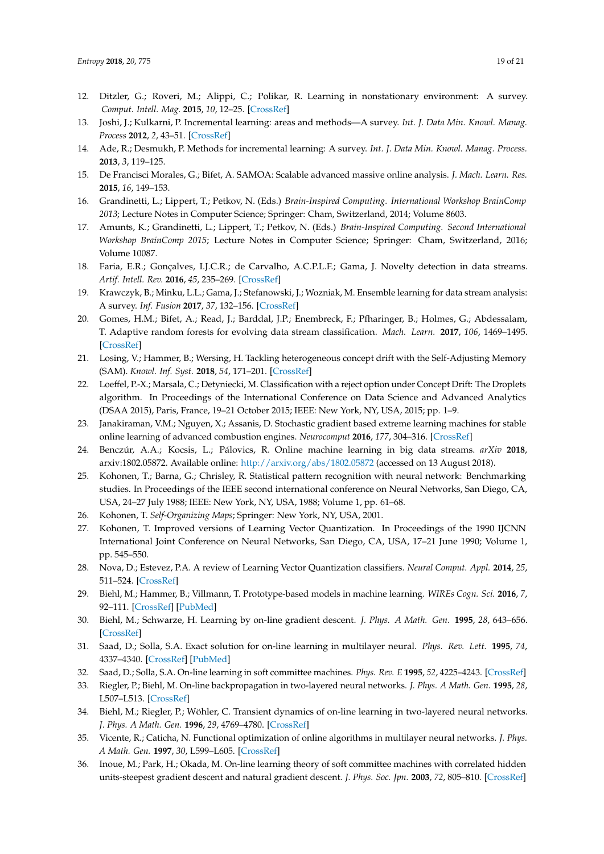- <span id="page-18-16"></span>12. Ditzler, G.; Roveri, M.; Alippi, C.; Polikar, R. Learning in nonstationary environment: A survey. *Comput. Intell. Mag.* **2015**, *10*, 12–25. [\[CrossRef\]](http://dx.doi.org/10.1109/MCI.2015.2471196)
- 13. Joshi, J.; Kulkarni, P. Incremental learning: areas and methods—A survey. *Int. J. Data Min. Knowl. Manag. Process* **2012**, *2*, 43–51. [\[CrossRef\]](http://dx.doi.org/10.5121/ijdkp.2012.2504)
- <span id="page-18-3"></span>14. Ade, R.; Desmukh, P. Methods for incremental learning: A survey. *Int. J. Data Min. Knowl. Manag. Process.* **2013**, *3*, 119–125.
- <span id="page-18-0"></span>15. De Francisci Morales, G.; Bifet, A. SAMOA: Scalable advanced massive online analysis. *J. Mach. Learn. Res.* **2015**, *16*, 149–153.
- <span id="page-18-1"></span>16. Grandinetti, L.; Lippert, T.; Petkov, N. (Eds.) *Brain-Inspired Computing. International Workshop BrainComp 2013*; Lecture Notes in Computer Science; Springer: Cham, Switzerland, 2014; Volume 8603.
- <span id="page-18-2"></span>17. Amunts, K.; Grandinetti, L.; Lippert, T.; Petkov, N. (Eds.) *Brain-Inspired Computing. Second International Workshop BrainComp 2015*; Lecture Notes in Computer Science; Springer: Cham, Switzerland, 2016; Volume 10087.
- <span id="page-18-4"></span>18. Faria, E.R.; Gonçalves, I.J.C.R.; de Carvalho, A.C.P.L.F.; Gama, J. Novelty detection in data streams. *Artif. Intell. Rev.* **2016**, *45*, 235–269. [\[CrossRef\]](http://dx.doi.org/10.1007/s10462-015-9444-8)
- <span id="page-18-5"></span>19. Krawczyk, B.; Minku, L.L.; Gama, J.; Stefanowski, J.; Wozniak, M. Ensemble learning for data stream analysis: A survey. *Inf. Fusion* **2017**, *37*, 132–156. [\[CrossRef\]](http://dx.doi.org/10.1016/j.inffus.2017.02.004)
- <span id="page-18-6"></span>20. Gomes, H.M.; Bifet, A.; Read, J.; Barddal, J.P.; Enembreck, F.; Pfharinger, B.; Holmes, G.; Abdessalam, T. Adaptive random forests for evolving data stream classification. *Mach. Learn.* **2017**, *106*, 1469–1495. [\[CrossRef\]](http://dx.doi.org/10.1007/s10994-017-5642-8)
- <span id="page-18-7"></span>21. Losing, V.; Hammer, B.; Wersing, H. Tackling heterogeneous concept drift with the Self-Adjusting Memory (SAM). *Knowl. Inf. Syst.* **2018**, *54*, 171–201. [\[CrossRef\]](http://dx.doi.org/10.1007/s10115-017-1137-y)
- <span id="page-18-8"></span>22. Loeffel, P.-X.; Marsala, C.; Detyniecki, M. Classification with a reject option under Concept Drift: The Droplets algorithm. In Proceedings of the International Conference on Data Science and Advanced Analytics (DSAA 2015), Paris, France, 19–21 October 2015; IEEE: New York, NY, USA, 2015; pp. 1–9.
- <span id="page-18-9"></span>23. Janakiraman, V.M.; Nguyen, X.; Assanis, D. Stochastic gradient based extreme learning machines for stable online learning of advanced combustion engines. *Neurocomput* **2016**, *177*, 304–316. [\[CrossRef\]](http://dx.doi.org/10.1016/j.neucom.2015.11.024)
- <span id="page-18-10"></span>24. Benczúr, A.A.; Kocsis, L.; Pálovics, R. Online machine learning in big data streams. *arXiv* **2018**, arxiv:1802.05872. Available online: <http://arxiv.org/abs/1802.05872> (accessed on 13 August 2018).
- <span id="page-18-11"></span>25. Kohonen, T.; Barna, G.; Chrisley, R. Statistical pattern recognition with neural network: Benchmarking studies. In Proceedings of the IEEE second international conference on Neural Networks, San Diego, CA, USA, 24–27 July 1988; IEEE: New York, NY, USA, 1988; Volume 1, pp. 61–68.
- <span id="page-18-17"></span>26. Kohonen, T. *Self-Organizing Maps*; Springer: New York, NY, USA, 2001.
- <span id="page-18-18"></span>27. Kohonen, T. Improved versions of Learning Vector Quantization. In Proceedings of the 1990 IJCNN International Joint Conference on Neural Networks, San Diego, CA, USA, 17–21 June 1990; Volume 1, pp. 545–550.
- <span id="page-18-13"></span>28. Nova, D.; Estevez, P.A. A review of Learning Vector Quantization classifiers. *Neural Comput. Appl.* **2014**, *25*, 511–524. [\[CrossRef\]](http://dx.doi.org/10.1007/s00521-013-1535-3)
- <span id="page-18-12"></span>29. Biehl, M.; Hammer, B.; Villmann, T. Prototype-based models in machine learning. *WIREs Cogn. Sci.* **2016**, *7*, 92–111. [\[CrossRef\]](http://dx.doi.org/10.1002/wcs.1378) [\[PubMed\]](http://www.ncbi.nlm.nih.gov/pubmed/26800334)
- <span id="page-18-14"></span>30. Biehl, M.; Schwarze, H. Learning by on-line gradient descent. *J. Phys. A Math. Gen.* **1995**, *28*, 643–656. [\[CrossRef\]](http://dx.doi.org/10.1088/0305-4470/28/3/018)
- <span id="page-18-21"></span>31. Saad, D.; Solla, S.A. Exact solution for on-line learning in multilayer neural. *Phys. Rev. Lett.* **1995**, *74*, 4337–4340. [\[CrossRef\]](http://dx.doi.org/10.1103/PhysRevLett.74.4337) [\[PubMed\]](http://www.ncbi.nlm.nih.gov/pubmed/10058475)
- <span id="page-18-22"></span>32. Saad, D.; Solla, S.A. On-line learning in soft committee machines. *Phys. Rev. E* **1995**, *52*, 4225–4243. [\[CrossRef\]](http://dx.doi.org/10.1103/PhysRevE.52.4225)
- <span id="page-18-19"></span>33. Riegler, P.; Biehl, M. On-line backpropagation in two-layered neural networks. *J. Phys. A Math. Gen.* **1995**, *28*, L507–L513. [\[CrossRef\]](http://dx.doi.org/10.1088/0305-4470/28/20/002)
- <span id="page-18-20"></span>34. Biehl, M.; Riegler, P.; Wöhler, C. Transient dynamics of on-line learning in two-layered neural networks. *J. Phys. A Math. Gen.* **1996**, *29*, 4769–4780. [\[CrossRef\]](http://dx.doi.org/10.1088/0305-4470/29/16/005)
- <span id="page-18-23"></span>35. Vicente, R.; Caticha, N. Functional optimization of online algorithms in multilayer neural networks. *J. Phys. A Math. Gen.* **1997**, *30*, L599–L605. [\[CrossRef\]](http://dx.doi.org/10.1088/0305-4470/30/17/002)
- <span id="page-18-15"></span>36. Inoue, M.; Park, H.; Okada, M. On-line learning theory of soft committee machines with correlated hidden units-steepest gradient descent and natural gradient descent. *J. Phys. Soc. Jpn.* **2003**, *72*, 805–810. [\[CrossRef\]](http://dx.doi.org/10.1143/JPSJ.72.805)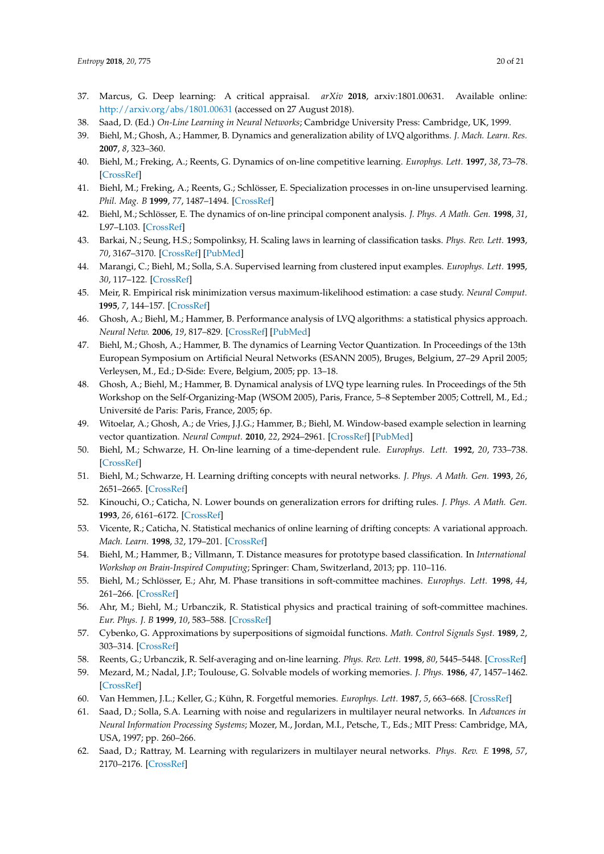- <span id="page-19-0"></span>37. Marcus, G. Deep learning: A critical appraisal. *arXiv* **2018**, arxiv:1801.00631. Available online: <http://arxiv.org/abs/1801.00631> (accessed on 27 August 2018).
- <span id="page-19-1"></span>38. Saad, D. (Ed.) *On-Line Learning in Neural Networks*; Cambridge University Press: Cambridge, UK, 1999.
- <span id="page-19-2"></span>39. Biehl, M.; Ghosh, A.; Hammer, B. Dynamics and generalization ability of LVQ algorithms. *J. Mach. Learn. Res.* **2007**, *8*, 323–360.
- <span id="page-19-3"></span>40. Biehl, M.; Freking, A.; Reents, G. Dynamics of on-line competitive learning. *Europhys. Lett.* **1997**, *38*, 73–78. [\[CrossRef\]](http://dx.doi.org/10.1209/epl/i1997-00536-9)
- 41. Biehl, M.; Freking, A.; Reents, G.; Schlösser, E. Specialization processes in on-line unsupervised learning. *Phil. Mag. B* **1999**, *77*, 1487–1494. [\[CrossRef\]](http://dx.doi.org/10.1080/13642819808205040)
- <span id="page-19-4"></span>42. Biehl, M.; Schlösser, E. The dynamics of on-line principal component analysis. *J. Phys. A Math. Gen.* **1998**, *31*, L97–L103. [\[CrossRef\]](http://dx.doi.org/10.1088/0305-4470/31/5/002)
- 43. Barkai, N.; Seung, H.S.; Sompolinksy, H. Scaling laws in learning of classification tasks. *Phys. Rev. Lett.* **1993**, *70*, 3167–3170. [\[CrossRef\]](http://dx.doi.org/10.1103/PhysRevLett.70.3167) [\[PubMed\]](http://www.ncbi.nlm.nih.gov/pubmed/10053792)
- <span id="page-19-15"></span>44. Marangi, C.; Biehl, M.; Solla, S.A. Supervised learning from clustered input examples. *Europhys. Lett.* **1995**, *30*, 117–122. [\[CrossRef\]](http://dx.doi.org/10.1209/0295-5075/30/2/010)
- <span id="page-19-5"></span>45. Meir, R. Empirical risk minimization versus maximum-likelihood estimation: a case study. *Neural Comput.* **1995**, *7*, 144–157. [\[CrossRef\]](http://dx.doi.org/10.1162/neco.1995.7.1.144)
- <span id="page-19-6"></span>46. Ghosh, A.; Biehl, M.; Hammer, B. Performance analysis of LVQ algorithms: a statistical physics approach. *Neural Netw.* **2006**, *19*, 817–829. [\[CrossRef\]](http://dx.doi.org/10.1016/j.neunet.2006.05.010) [\[PubMed\]](http://www.ncbi.nlm.nih.gov/pubmed/16781845)
- 47. Biehl, M.; Ghosh, A.; Hammer, B. The dynamics of Learning Vector Quantization. In Proceedings of the 13th European Symposium on Artificial Neural Networks (ESANN 2005), Bruges, Belgium, 27–29 April 2005; Verleysen, M., Ed.; D-Side: Evere, Belgium, 2005; pp. 13–18.
- <span id="page-19-11"></span>48. Ghosh, A.; Biehl, M.; Hammer, B. Dynamical analysis of LVQ type learning rules. In Proceedings of the 5th Workshop on the Self-Organizing-Map (WSOM 2005), Paris, France, 5–8 September 2005; Cottrell, M., Ed.; Université de Paris: Paris, France, 2005; 6p.
- <span id="page-19-7"></span>49. Witoelar, A.; Ghosh, A.; de Vries, J.J.G.; Hammer, B.; Biehl, M. Window-based example selection in learning vector quantization. *Neural Comput.* **2010**, *22*, 2924–2961. [\[CrossRef\]](http://dx.doi.org/10.1162/NECO_a_00030) [\[PubMed\]](http://www.ncbi.nlm.nih.gov/pubmed/20804387)
- <span id="page-19-8"></span>50. Biehl, M.; Schwarze, H. On-line learning of a time-dependent rule. *Europhys. Lett.* **1992**, *20*, 733–738. [\[CrossRef\]](http://dx.doi.org/10.1209/0295-5075/20/8/012)
- 51. Biehl, M.; Schwarze, H. Learning drifting concepts with neural networks. *J. Phys. A Math. Gen.* **1993**, *26*, 2651–2665. [\[CrossRef\]](http://dx.doi.org/10.1088/0305-4470/26/11/014)
- <span id="page-19-21"></span>52. Kinouchi, O.; Caticha, N. Lower bounds on generalization errors for drifting rules. *J. Phys. A Math. Gen.* **1993**, *26*, 6161–6172. [\[CrossRef\]](http://dx.doi.org/10.1088/0305-4470/26/22/017)
- <span id="page-19-9"></span>53. Vicente, R.; Caticha, N. Statistical mechanics of online learning of drifting concepts: A variational approach. *Mach. Learn.* **1998**, *32*, 179–201. [\[CrossRef\]](http://dx.doi.org/10.1023/A:1007428731714)
- <span id="page-19-10"></span>54. Biehl, M.; Hammer, B.; Villmann, T. Distance measures for prototype based classification. In *International Workshop on Brain-Inspired Computing*; Springer: Cham, Switzerland, 2013; pp. 110–116.
- <span id="page-19-12"></span>55. Biehl, M.; Schlösser, E.; Ahr, M. Phase transitions in soft-committee machines. *Europhys. Lett.* **1998**, *44*, 261–266. [\[CrossRef\]](http://dx.doi.org/10.1209/epl/i1998-00466-6)
- <span id="page-19-13"></span>56. Ahr, M.; Biehl, M.; Urbanczik, R. Statistical physics and practical training of soft-committee machines. *Eur. Phys. J. B* **1999**, *10*, 583–588. [\[CrossRef\]](http://dx.doi.org/10.1007/s100510050889)
- <span id="page-19-14"></span>57. Cybenko, G. Approximations by superpositions of sigmoidal functions. *Math. Control Signals Syst.* **1989**, *2*, 303–314. [\[CrossRef\]](http://dx.doi.org/10.1007/BF02551274)
- <span id="page-19-16"></span>58. Reents, G.; Urbanczik, R. Self-averaging and on-line learning. *Phys. Rev. Lett.* **1998**, *80*, 5445–5448. [\[CrossRef\]](http://dx.doi.org/10.1103/PhysRevLett.80.5445)
- <span id="page-19-17"></span>59. Mezard, M.; Nadal, J.P.; Toulouse, G. Solvable models of working memories. *J. Phys.* **1986**, *47*, 1457–1462. [\[CrossRef\]](http://dx.doi.org/10.1051/jphys:019860047090145700)
- <span id="page-19-18"></span>60. Van Hemmen, J.L.; Keller, G.; Kühn, R. Forgetful memories. *Europhys. Lett.* **1987**, *5*, 663–668. [\[CrossRef\]](http://dx.doi.org/10.1209/0295-5075/5/7/016)
- <span id="page-19-19"></span>61. Saad, D.; Solla, S.A. Learning with noise and regularizers in multilayer neural networks. In *Advances in Neural Information Processing Systems*; Mozer, M., Jordan, M.I., Petsche, T., Eds.; MIT Press: Cambridge, MA, USA, 1997; pp. 260–266.
- <span id="page-19-20"></span>62. Saad, D.; Rattray, M. Learning with regularizers in multilayer neural networks. *Phys. Rev. E* **1998**, *57*, 2170–2176. [\[CrossRef\]](http://dx.doi.org/10.1103/PhysRevE.57.2170)